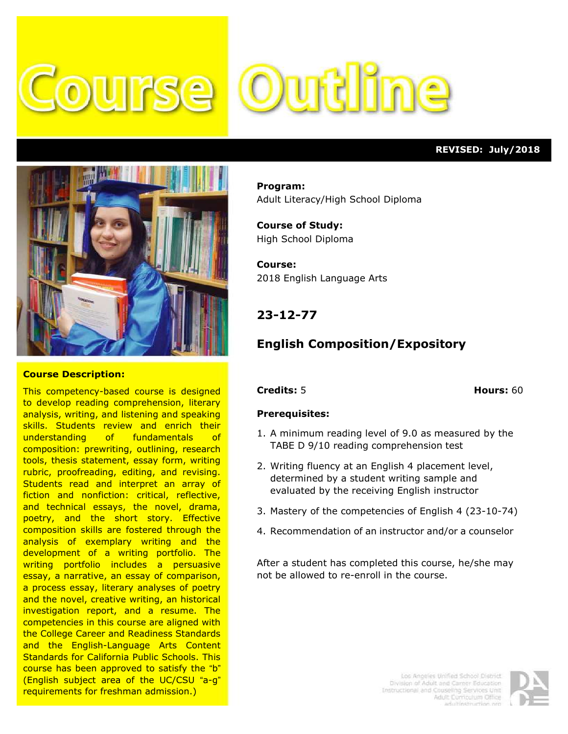# Oudline

## **REVISED: July/2018**



#### **Course Description:**

This competency-based course is designed to develop reading comprehension, literary analysis, writing, and listening and speaking skills. Students review and enrich their understanding of fundamentals of composition: prewriting, outlining, research tools, thesis statement, essay form, writing rubric, proofreading, editing, and revising. Students read and interpret an array of fiction and nonfiction: critical, reflective, and technical essays, the novel, drama, poetry, and the short story. Effective composition skills are fostered through the analysis of exemplary writing and the development of a writing portfolio. The writing portfolio includes a persuasive essay, a narrative, an essay of comparison, a process essay, literary analyses of poetry and the novel, creative writing, an historical investigation report, and a resume. The competencies in this course are aligned with the College Career and Readiness Standards and the English-Language Arts Content Standards for California Public Schools. This course has been approved to satisfy the "b" (English subject area of the UC/CSU "a-g" requirements for freshman admission.)

**Program:** Adult Literacy/High School Diploma

**Course of Study:** High School Diploma

**Course:** 2018 English Language Arts

## **23-12-77**

# **English Composition/Expository**

#### **Credits:** 5 **Hours:** 60

#### **Prerequisites:**

- 1. A minimum reading level of 9.0 as measured by the TABE D 9/10 reading comprehension test
- 2. Writing fluency at an English 4 placement level, determined by a student writing sample and evaluated by the receiving English instructor
- 3. Mastery of the competencies of English 4 (23-10-74)
- 4. Recommendation of an instructor and/or a counselor

After a student has completed this course, he/she may not be allowed to re-enroll in the course.

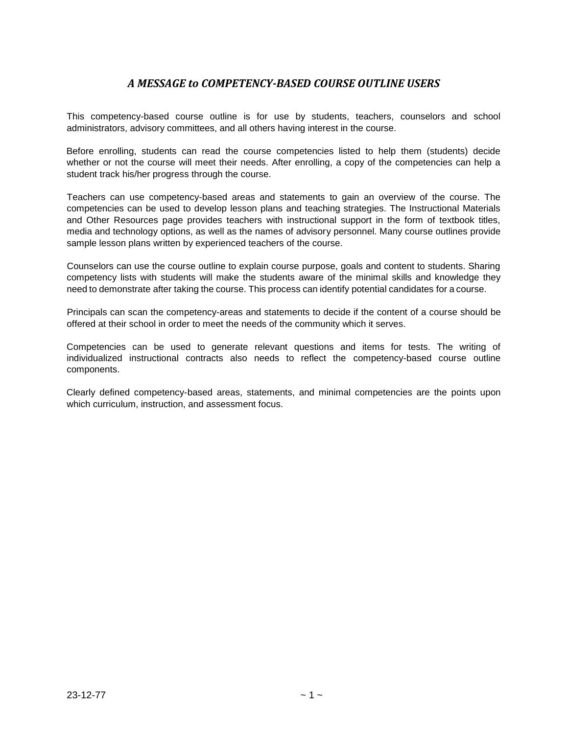## *A MESSAGE to COMPETENCY-BASED COURSE OUTLINE USERS*

This competency-based course outline is for use by students, teachers, counselors and school administrators, advisory committees, and all others having interest in the course.

Before enrolling, students can read the course competencies listed to help them (students) decide whether or not the course will meet their needs. After enrolling, a copy of the competencies can help a student track his/her progress through the course.

Teachers can use competency-based areas and statements to gain an overview of the course. The competencies can be used to develop lesson plans and teaching strategies. The Instructional Materials and Other Resources page provides teachers with instructional support in the form of textbook titles, media and technology options, as well as the names of advisory personnel. Many course outlines provide sample lesson plans written by experienced teachers of the course.

Counselors can use the course outline to explain course purpose, goals and content to students. Sharing competency lists with students will make the students aware of the minimal skills and knowledge they need to demonstrate after taking the course. This process can identify potential candidates for a course.

Principals can scan the competency-areas and statements to decide if the content of a course should be offered at their school in order to meet the needs of the community which it serves.

Competencies can be used to generate relevant questions and items for tests. The writing of individualized instructional contracts also needs to reflect the competency-based course outline components.

Clearly defined competency-based areas, statements, and minimal competencies are the points upon which curriculum, instruction, and assessment focus.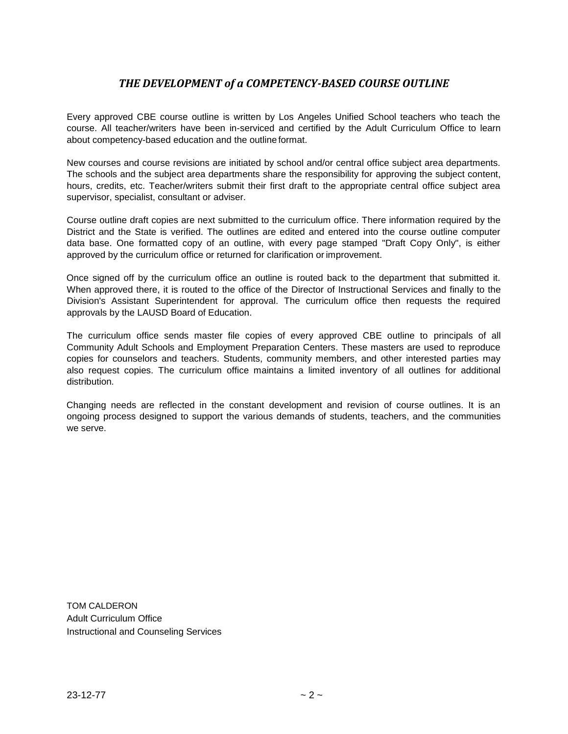## *THE DEVELOPMENT of a COMPETENCY-BASED COURSE OUTLINE*

Every approved CBE course outline is written by Los Angeles Unified School teachers who teach the course. All teacher/writers have been in-serviced and certified by the Adult Curriculum Office to learn about competency-based education and the outline format.

New courses and course revisions are initiated by school and/or central office subject area departments. The schools and the subject area departments share the responsibility for approving the subject content, hours, credits, etc. Teacher/writers submit their first draft to the appropriate central office subject area supervisor, specialist, consultant or adviser.

Course outline draft copies are next submitted to the curriculum office. There information required by the District and the State is verified. The outlines are edited and entered into the course outline computer data base. One formatted copy of an outline, with every page stamped "Draft Copy Only", is either approved by the curriculum office or returned for clarification or improvement.

Once signed off by the curriculum office an outline is routed back to the department that submitted it. When approved there, it is routed to the office of the Director of Instructional Services and finally to the Division's Assistant Superintendent for approval. The curriculum office then requests the required approvals by the LAUSD Board of Education.

The curriculum office sends master file copies of every approved CBE outline to principals of all Community Adult Schools and Employment Preparation Centers. These masters are used to reproduce copies for counselors and teachers. Students, community members, and other interested parties may also request copies. The curriculum office maintains a limited inventory of all outlines for additional distribution.

Changing needs are reflected in the constant development and revision of course outlines. It is an ongoing process designed to support the various demands of students, teachers, and the communities we serve.

TOM CALDERON Adult Curriculum Office Instructional and Counseling Services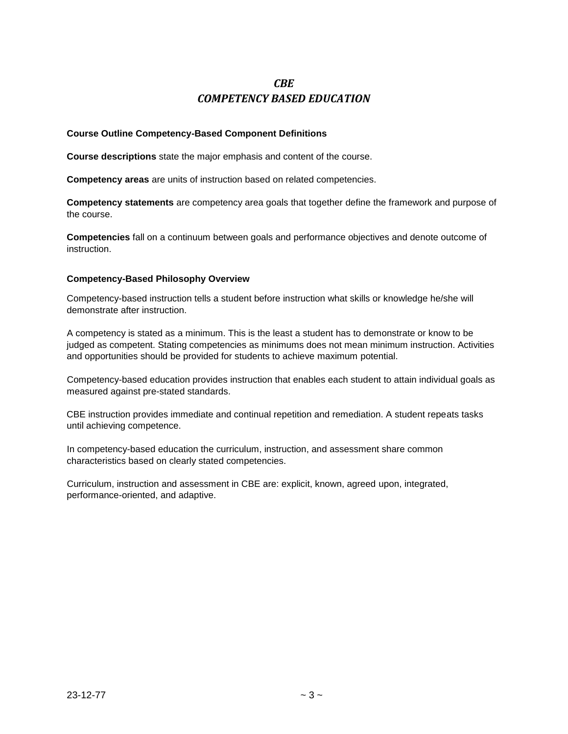## *CBE COMPETENCY BASED EDUCATION*

#### **Course Outline Competency-Based Component Definitions**

**Course descriptions** state the major emphasis and content of the course.

**Competency areas** are units of instruction based on related competencies.

**Competency statements** are competency area goals that together define the framework and purpose of the course.

**Competencies** fall on a continuum between goals and performance objectives and denote outcome of instruction.

#### **Competency-Based Philosophy Overview**

Competency-based instruction tells a student before instruction what skills or knowledge he/she will demonstrate after instruction.

A competency is stated as a minimum. This is the least a student has to demonstrate or know to be judged as competent. Stating competencies as minimums does not mean minimum instruction. Activities and opportunities should be provided for students to achieve maximum potential.

Competency-based education provides instruction that enables each student to attain individual goals as measured against pre-stated standards.

CBE instruction provides immediate and continual repetition and remediation. A student repeats tasks until achieving competence.

In competency-based education the curriculum, instruction, and assessment share common characteristics based on clearly stated competencies.

Curriculum, instruction and assessment in CBE are: explicit, known, agreed upon, integrated, performance-oriented, and adaptive.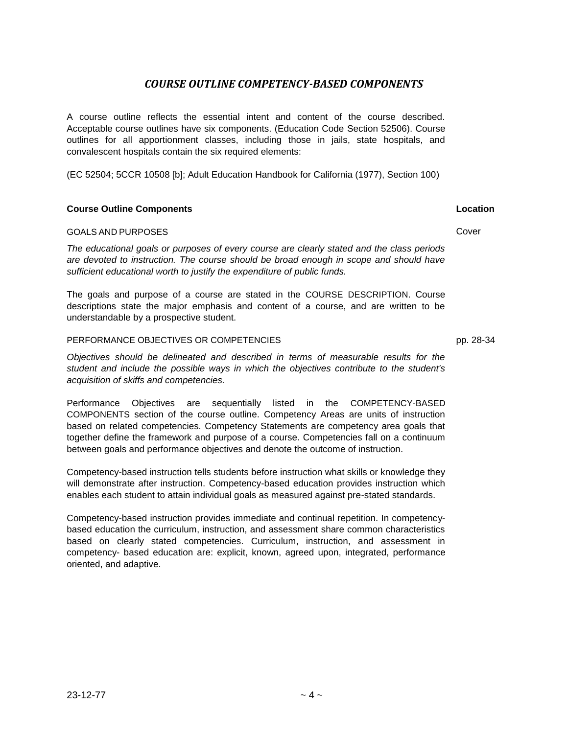## *COURSE OUTLINE COMPETENCY-BASED COMPONENTS*

A course outline reflects the essential intent and content of the course described. Acceptable course outlines have six components. (Education Code Section 52506). Course outlines for all apportionment classes, including those in jails, state hospitals, and convalescent hospitals contain the six required elements:

(EC 52504; 5CCR 10508 [b]; Adult Education Handbook for California (1977), Section 100)

#### **Course Outline Components**

#### GOALS AND PURPOSES

*The educational goals or purposes of every course are clearly stated and the class periods are devoted to instruction. The course should be broad enough in scope and should have sufficient educational worth to justify the expenditure of public funds.*

The goals and purpose of a course are stated in the COURSE DESCRIPTION. Course descriptions state the major emphasis and content of a course, and are written to be understandable by a prospective student.

#### PERFORMANCE OBJECTIVES OR COMPETENCIES

*Objectives should be delineated and described in terms of measurable results for the student and include the possible ways in which the objectives contribute to the student's acquisition of skiffs and competencies.*

Performance Objectives are sequentially listed in the COMPETENCY-BASED COMPONENTS section of the course outline. Competency Areas are units of instruction based on related competencies. Competency Statements are competency area goals that together define the framework and purpose of a course. Competencies fall on a continuum between goals and performance objectives and denote the outcome of instruction.

Competency-based instruction tells students before instruction what skills or knowledge they will demonstrate after instruction. Competency-based education provides instruction which enables each student to attain individual goals as measured against pre-stated standards.

Competency-based instruction provides immediate and continual repetition. In competencybased education the curriculum, instruction, and assessment share common characteristics based on clearly stated competencies. Curriculum, instruction, and assessment in competency- based education are: explicit, known, agreed upon, integrated, performance oriented, and adaptive.

pp. 28-34

**Location**

Cover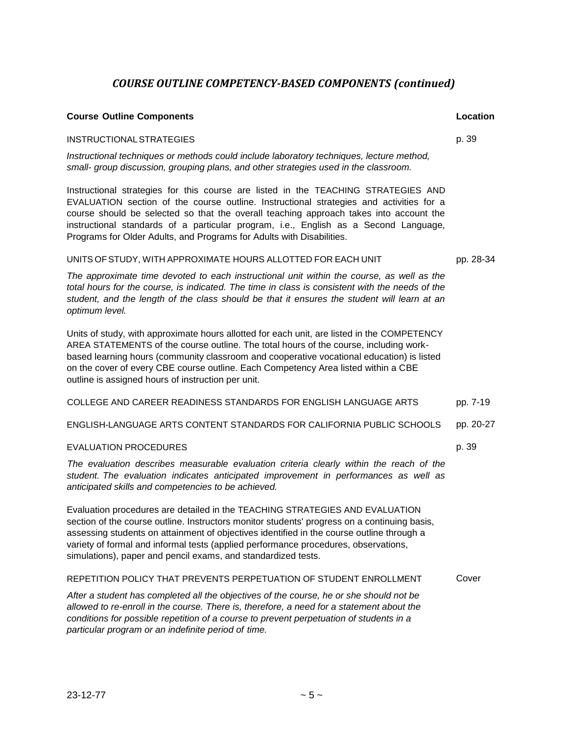## *COURSE OUTLINE COMPETENCY-BASED COMPONENTS (continued)*

#### **Course Outline Components**

#### INSTRUCTIONALSTRATEGIES

*Instructional techniques or methods could include laboratory techniques, lecture method, small- group discussion, grouping plans, and other strategies used in the classroom.*

Instructional strategies for this course are listed in the TEACHING STRATEGIES AND EVALUATION section of the course outline. Instructional strategies and activities for a course should be selected so that the overall teaching approach takes into account the instructional standards of a particular program, i.e., English as a Second Language, Programs for Older Adults, and Programs for Adults with Disabilities.

#### UNITS OFSTUDY, WITH APPROXIMATE HOURS ALLOTTED FOR EACH UNIT

*The approximate time devoted to each instructional unit within the course, as well as the total hours for the course, is indicated. The time in class is consistent with the needs of the student, and the length of the class should be that it ensures the student will learn at an optimum level.*

Units of study, with approximate hours allotted for each unit, are listed in the COMPETENCY AREA STATEMENTS of the course outline. The total hours of the course, including workbased learning hours (community classroom and cooperative vocational education) is listed on the cover of every CBE course outline. Each Competency Area listed within a CBE outline is assigned hours of instruction per unit.

#### COLLEGE AND CAREER READINESS STANDARDS FOR ENGLISH LANGUAGE ARTS pp. 7-19

ENGLISH-LANGUAGE ARTS CONTENT STANDARDS FOR CALIFORNIA PUBLIC SCHOOLS pp. 20-27

#### EVALUATION PROCEDURES

*The evaluation describes measurable evaluation criteria clearly within the reach of the student. The evaluation indicates anticipated improvement in performances as well as anticipated skills and competencies to be achieved.*

Evaluation procedures are detailed in the TEACHING STRATEGIES AND EVALUATION section of the course outline. Instructors monitor students' progress on a continuing basis, assessing students on attainment of objectives identified in the course outline through a variety of formal and informal tests (applied performance procedures, observations, simulations), paper and pencil exams, and standardized tests.

#### REPETITION POLICY THAT PREVENTS PERPETUATION OF STUDENT ENROLLMENT Cover

*After a student has completed all the objectives of the course, he or she should not be allowed to re-enroll in the course. There is, therefore, a need for a statement about the conditions for possible repetition of a course to prevent perpetuation of students in a particular program or an indefinite period of time.*

#### **Location**

pp. 28-34

p. 39

p. 39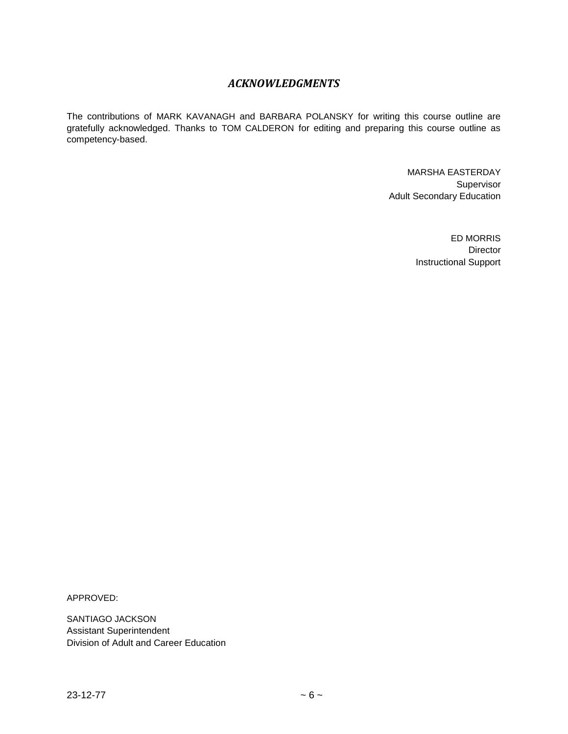## *ACKNOWLEDGMENTS*

The contributions of MARK KAVANAGH and BARBARA POLANSKY for writing this course outline are gratefully acknowledged. Thanks to TOM CALDERON for editing and preparing this course outline as competency-based.

> MARSHA EASTERDAY Supervisor Adult Secondary Education

> > ED MORRIS Director Instructional Support

APPROVED:

SANTIAGO JACKSON Assistant Superintendent Division of Adult and Career Education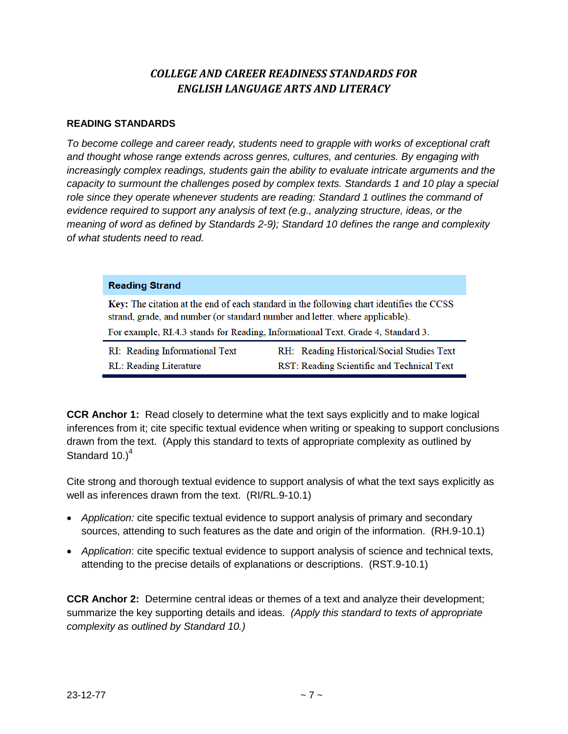#### **READING STANDARDS**

*To become college and career ready, students need to grapple with works of exceptional craft and thought whose range extends across genres, cultures, and centuries. By engaging with increasingly complex readings, students gain the ability to evaluate intricate arguments and the capacity to surmount the challenges posed by complex texts. Standards 1 and 10 play a special role since they operate whenever students are reading: Standard 1 outlines the command of evidence required to support any analysis of text (e.g., analyzing structure, ideas, or the meaning of word as defined by Standards 2-9); Standard 10 defines the range and complexity of what students need to read.* 

#### **Reading Strand**

Key: The citation at the end of each standard in the following chart identifies the CCSS strand, grade, and number (or standard number and letter, where applicable).

For example, RI.4.3 stands for Reading, Informational Text, Grade 4, Standard 3.

| RI: Reading Informational Text | RH: Reading Historical/Social Studies Text |
|--------------------------------|--------------------------------------------|
| <b>RL:</b> Reading Literature  | RST: Reading Scientific and Technical Text |

**CCR Anchor 1:** Read closely to determine what the text says explicitly and to make logical inferences from it; cite specific textual evidence when writing or speaking to support conclusions drawn from the text. (Apply this standard to texts of appropriate complexity as outlined by Standard  $10.1<sup>4</sup>$ 

Cite strong and thorough textual evidence to support analysis of what the text says explicitly as well as inferences drawn from the text. (RI/RL.9-10.1)

- *Application:* cite specific textual evidence to support analysis of primary and secondary sources, attending to such features as the date and origin of the information. (RH.9-10.1)
- *Application*: cite specific textual evidence to support analysis of science and technical texts, attending to the precise details of explanations or descriptions. (RST.9-10.1)

**CCR Anchor 2:** Determine central ideas or themes of a text and analyze their development; summarize the key supporting details and ideas. *(Apply this standard to texts of appropriate complexity as outlined by Standard 10.)*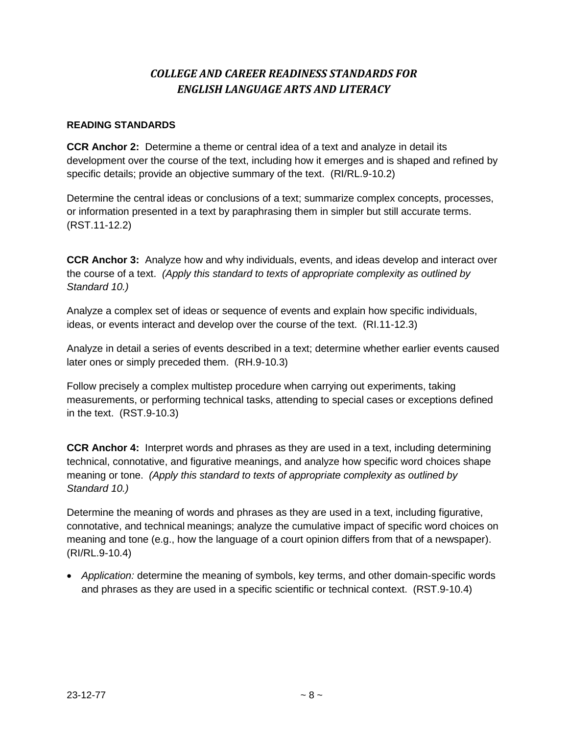## **READING STANDARDS**

**CCR Anchor 2:** Determine a theme or central idea of a text and analyze in detail its development over the course of the text, including how it emerges and is shaped and refined by specific details; provide an objective summary of the text. (RI/RL.9-10.2)

Determine the central ideas or conclusions of a text; summarize complex concepts, processes, or information presented in a text by paraphrasing them in simpler but still accurate terms. (RST.11-12.2)

**CCR Anchor 3:** Analyze how and why individuals, events, and ideas develop and interact over the course of a text. *(Apply this standard to texts of appropriate complexity as outlined by Standard 10.)*

Analyze a complex set of ideas or sequence of events and explain how specific individuals, ideas, or events interact and develop over the course of the text. (RI.11-12.3)

Analyze in detail a series of events described in a text; determine whether earlier events caused later ones or simply preceded them. (RH.9-10.3)

Follow precisely a complex multistep procedure when carrying out experiments, taking measurements, or performing technical tasks, attending to special cases or exceptions defined in the text. (RST.9-10.3)

**CCR Anchor 4:** Interpret words and phrases as they are used in a text, including determining technical, connotative, and figurative meanings, and analyze how specific word choices shape meaning or tone. *(Apply this standard to texts of appropriate complexity as outlined by Standard 10.)*

Determine the meaning of words and phrases as they are used in a text, including figurative, connotative, and technical meanings; analyze the cumulative impact of specific word choices on meaning and tone (e.g., how the language of a court opinion differs from that of a newspaper). (RI/RL.9-10.4)

 *Application:* determine the meaning of symbols, key terms, and other domain-specific words and phrases as they are used in a specific scientific or technical context. (RST.9-10.4)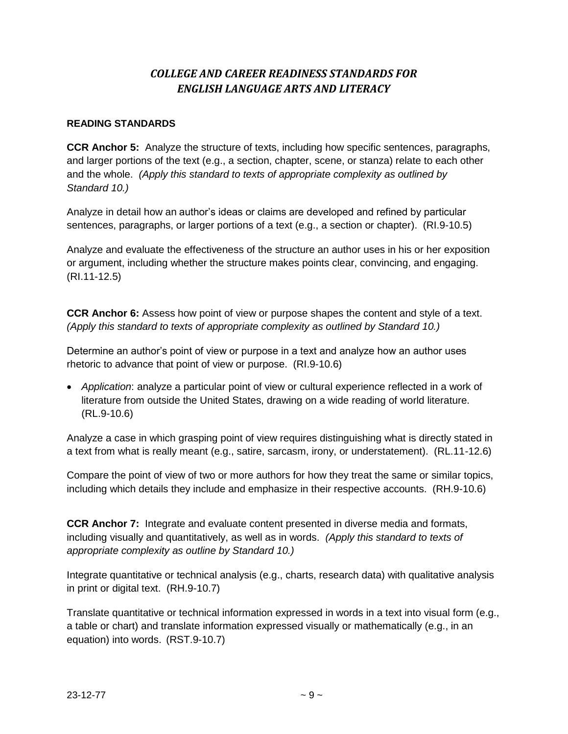#### **READING STANDARDS**

**CCR Anchor 5:** Analyze the structure of texts, including how specific sentences, paragraphs, and larger portions of the text (e.g., a section, chapter, scene, or stanza) relate to each other and the whole. *(Apply this standard to texts of appropriate complexity as outlined by Standard 10.)*

Analyze in detail how an author's ideas or claims are developed and refined by particular sentences, paragraphs, or larger portions of a text (e.g., a section or chapter). (RI.9-10.5)

Analyze and evaluate the effectiveness of the structure an author uses in his or her exposition or argument, including whether the structure makes points clear, convincing, and engaging. (RI.11-12.5)

**CCR Anchor 6:** Assess how point of view or purpose shapes the content and style of a text. *(Apply this standard to texts of appropriate complexity as outlined by Standard 10.)*

Determine an author's point of view or purpose in a text and analyze how an author uses rhetoric to advance that point of view or purpose. (RI.9-10.6)

 *Application*: analyze a particular point of view or cultural experience reflected in a work of literature from outside the United States, drawing on a wide reading of world literature. (RL.9-10.6)

Analyze a case in which grasping point of view requires distinguishing what is directly stated in a text from what is really meant (e.g., satire, sarcasm, irony, or understatement). (RL.11-12.6)

Compare the point of view of two or more authors for how they treat the same or similar topics, including which details they include and emphasize in their respective accounts. (RH.9-10.6)

**CCR Anchor 7:** Integrate and evaluate content presented in diverse media and formats, including visually and quantitatively, as well as in words. *(Apply this standard to texts of appropriate complexity as outline by Standard 10.)*

Integrate quantitative or technical analysis (e.g., charts, research data) with qualitative analysis in print or digital text. (RH.9-10.7)

Translate quantitative or technical information expressed in words in a text into visual form (e.g., a table or chart) and translate information expressed visually or mathematically (e.g., in an equation) into words. (RST.9-10.7)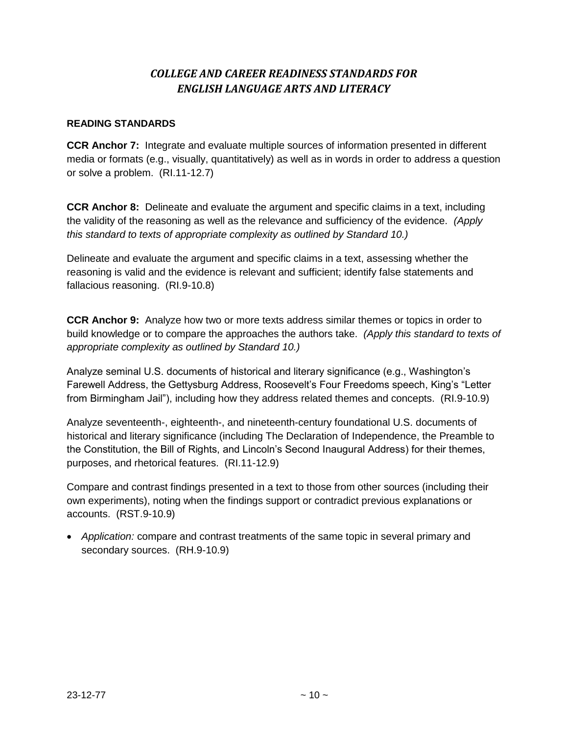#### **READING STANDARDS**

**CCR Anchor 7:** Integrate and evaluate multiple sources of information presented in different media or formats (e.g., visually, quantitatively) as well as in words in order to address a question or solve a problem. (RI.11-12.7)

**CCR Anchor 8:** Delineate and evaluate the argument and specific claims in a text, including the validity of the reasoning as well as the relevance and sufficiency of the evidence. *(Apply this standard to texts of appropriate complexity as outlined by Standard 10.)*

Delineate and evaluate the argument and specific claims in a text, assessing whether the reasoning is valid and the evidence is relevant and sufficient; identify false statements and fallacious reasoning. (RI.9-10.8)

**CCR Anchor 9:** Analyze how two or more texts address similar themes or topics in order to build knowledge or to compare the approaches the authors take. *(Apply this standard to texts of appropriate complexity as outlined by Standard 10.)*

Analyze seminal U.S. documents of historical and literary significance (e.g., Washington's Farewell Address, the Gettysburg Address, Roosevelt's Four Freedoms speech, King's "Letter from Birmingham Jail"), including how they address related themes and concepts. (RI.9-10.9)

Analyze seventeenth-, eighteenth-, and nineteenth-century foundational U.S. documents of historical and literary significance (including The Declaration of Independence, the Preamble to the Constitution, the Bill of Rights, and Lincoln's Second Inaugural Address) for their themes, purposes, and rhetorical features. (RI.11-12.9)

Compare and contrast findings presented in a text to those from other sources (including their own experiments), noting when the findings support or contradict previous explanations or accounts. (RST.9-10.9)

 *Application:* compare and contrast treatments of the same topic in several primary and secondary sources. (RH.9-10.9)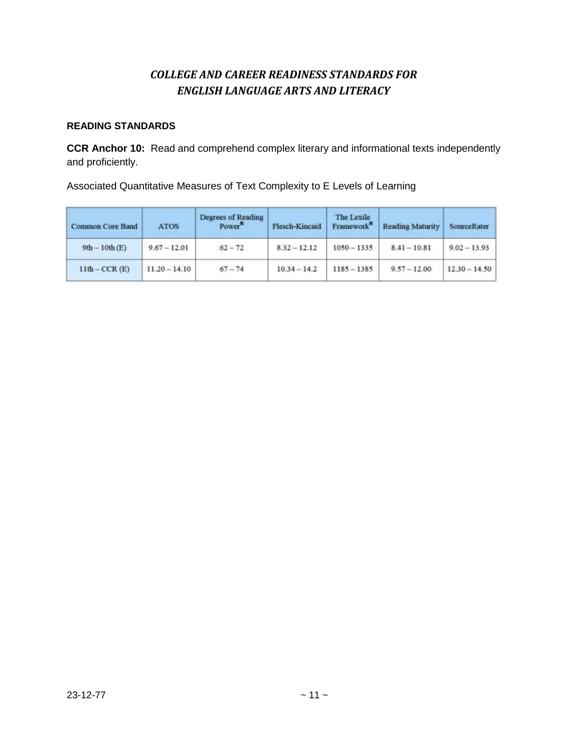#### **READING STANDARDS**

**CCR Anchor 10:** Read and comprehend complex literary and informational texts independently and proficiently.

Associated Quantitative Measures of Text Complexity to E Levels of Learning

| <b>Common Core Band</b> | <b>ATOS</b>     | Degrees of Reading<br>Power | Flesch-Kincaid | The Lexile<br>Framework <sup>*</sup> | <b>Reading Maturity</b> | SourceRater     |
|-------------------------|-----------------|-----------------------------|----------------|--------------------------------------|-------------------------|-----------------|
| $9th - 10th(E)$         | $9.67 - 12.01$  | $62 - 72$                   | $8.32 - 12.12$ | $1050 - 1335$                        | $8.41 - 10.81$          | $9.02 - 13.93$  |
| $11th$ – CCR $(E)$      | $11.20 - 14.10$ | $67 - 74$                   | $10.34 - 14.2$ | $1185 - 1385$                        | $9.57 - 12.00$          | $12.30 - 14.50$ |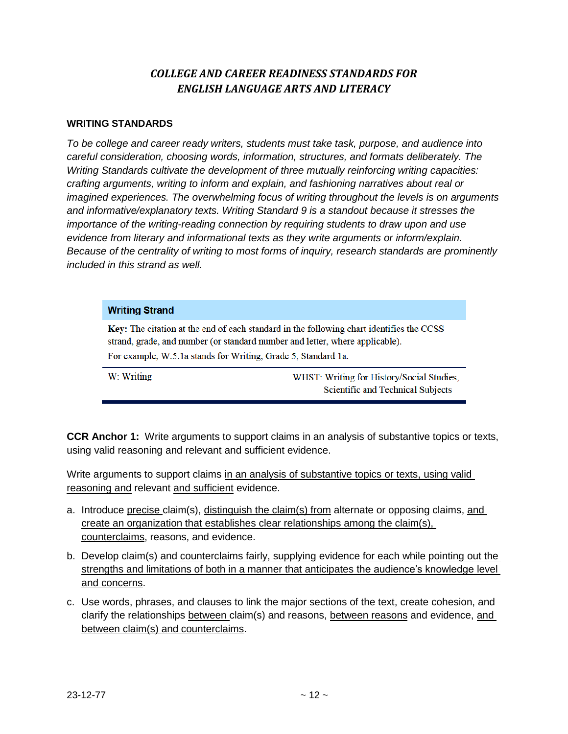#### **WRITING STANDARDS**

*To be college and career ready writers, students must take task, purpose, and audience into careful consideration, choosing words, information, structures, and formats deliberately. The Writing Standards cultivate the development of three mutually reinforcing writing capacities: crafting arguments, writing to inform and explain, and fashioning narratives about real or imagined experiences. The overwhelming focus of writing throughout the levels is on arguments and informative/explanatory texts. Writing Standard 9 is a standout because it stresses the importance of the writing-reading connection by requiring students to draw upon and use evidence from literary and informational texts as they write arguments or inform/explain. Because of the centrality of writing to most forms of inquiry, research standards are prominently included in this strand as well.*

#### **Writing Strand**

Key: The citation at the end of each standard in the following chart identifies the CCSS strand, grade, and number (or standard number and letter, where applicable).

For example, W.5.1a stands for Writing, Grade 5, Standard 1a.

W: Writing

WHST: Writing for History/Social Studies, Scientific and Technical Subjects

**CCR Anchor 1:** Write arguments to support claims in an analysis of substantive topics or texts, using valid reasoning and relevant and sufficient evidence.

Write arguments to support claims in an analysis of substantive topics or texts, using valid reasoning and relevant and sufficient evidence.

- a. Introduce precise claim(s), distinguish the claim(s) from alternate or opposing claims, and create an organization that establishes clear relationships among the claim(s), counterclaims, reasons, and evidence.
- b. Develop claim(s) and counterclaims fairly, supplying evidence for each while pointing out the strengths and limitations of both in a manner that anticipates the audience's knowledge level and concerns.
- c. Use words, phrases, and clauses to link the major sections of the text, create cohesion, and clarify the relationships between claim(s) and reasons, between reasons and evidence, and between claim(s) and counterclaims.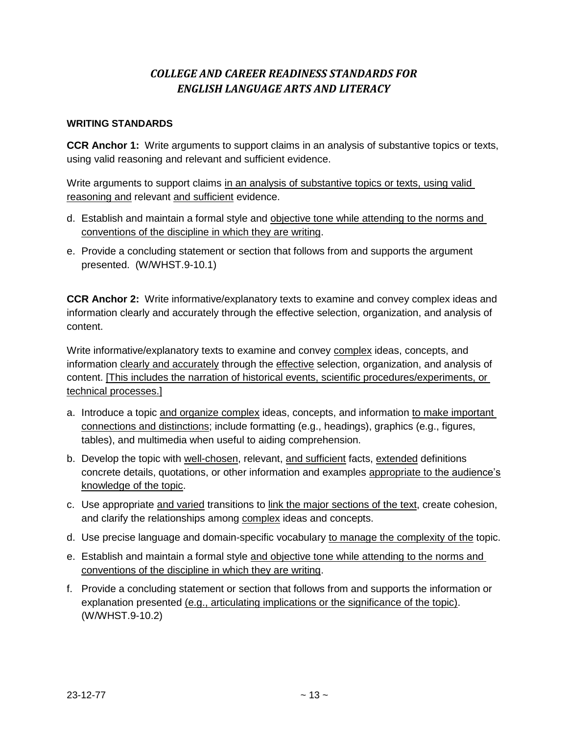#### **WRITING STANDARDS**

**CCR Anchor 1:** Write arguments to support claims in an analysis of substantive topics or texts, using valid reasoning and relevant and sufficient evidence.

Write arguments to support claims in an analysis of substantive topics or texts, using valid reasoning and relevant and sufficient evidence.

- d. Establish and maintain a formal style and objective tone while attending to the norms and conventions of the discipline in which they are writing.
- e. Provide a concluding statement or section that follows from and supports the argument presented. (W/WHST.9-10.1)

**CCR Anchor 2:** Write informative/explanatory texts to examine and convey complex ideas and information clearly and accurately through the effective selection, organization, and analysis of content.

Write informative/explanatory texts to examine and convey complex ideas, concepts, and information clearly and accurately through the effective selection, organization, and analysis of content. [This includes the narration of historical events, scientific procedures/experiments, or technical processes.]

- a. Introduce a topic and organize complex ideas, concepts, and information to make important connections and distinctions; include formatting (e.g., headings), graphics (e.g., figures, tables), and multimedia when useful to aiding comprehension.
- b. Develop the topic with well-chosen, relevant, and sufficient facts, extended definitions concrete details, quotations, or other information and examples appropriate to the audience's knowledge of the topic.
- c. Use appropriate and varied transitions to link the major sections of the text, create cohesion, and clarify the relationships among complex ideas and concepts.
- d. Use precise language and domain-specific vocabulary to manage the complexity of the topic.
- e. Establish and maintain a formal style and objective tone while attending to the norms and conventions of the discipline in which they are writing.
- f. Provide a concluding statement or section that follows from and supports the information or explanation presented (e.g., articulating implications or the significance of the topic). (W/WHST.9-10.2)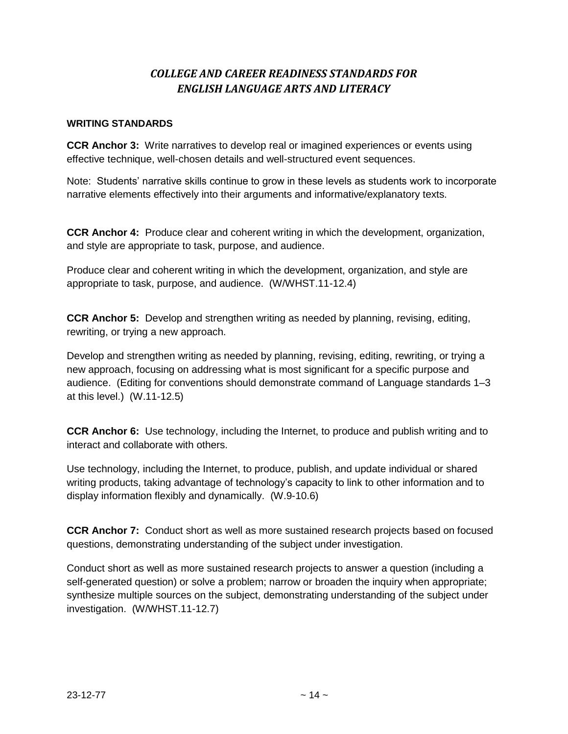#### **WRITING STANDARDS**

**CCR Anchor 3:** Write narratives to develop real or imagined experiences or events using effective technique, well-chosen details and well-structured event sequences.

Note: Students' narrative skills continue to grow in these levels as students work to incorporate narrative elements effectively into their arguments and informative/explanatory texts.

**CCR Anchor 4:** Produce clear and coherent writing in which the development, organization, and style are appropriate to task, purpose, and audience.

Produce clear and coherent writing in which the development, organization, and style are appropriate to task, purpose, and audience. (W/WHST.11-12.4)

**CCR Anchor 5:** Develop and strengthen writing as needed by planning, revising, editing, rewriting, or trying a new approach.

Develop and strengthen writing as needed by planning, revising, editing, rewriting, or trying a new approach, focusing on addressing what is most significant for a specific purpose and audience. (Editing for conventions should demonstrate command of Language standards 1–3 at this level.) (W.11-12.5)

**CCR Anchor 6:** Use technology, including the Internet, to produce and publish writing and to interact and collaborate with others.

Use technology, including the Internet, to produce, publish, and update individual or shared writing products, taking advantage of technology's capacity to link to other information and to display information flexibly and dynamically. (W.9-10.6)

**CCR Anchor 7:** Conduct short as well as more sustained research projects based on focused questions, demonstrating understanding of the subject under investigation.

Conduct short as well as more sustained research projects to answer a question (including a self-generated question) or solve a problem; narrow or broaden the inquiry when appropriate; synthesize multiple sources on the subject, demonstrating understanding of the subject under investigation. (W/WHST.11-12.7)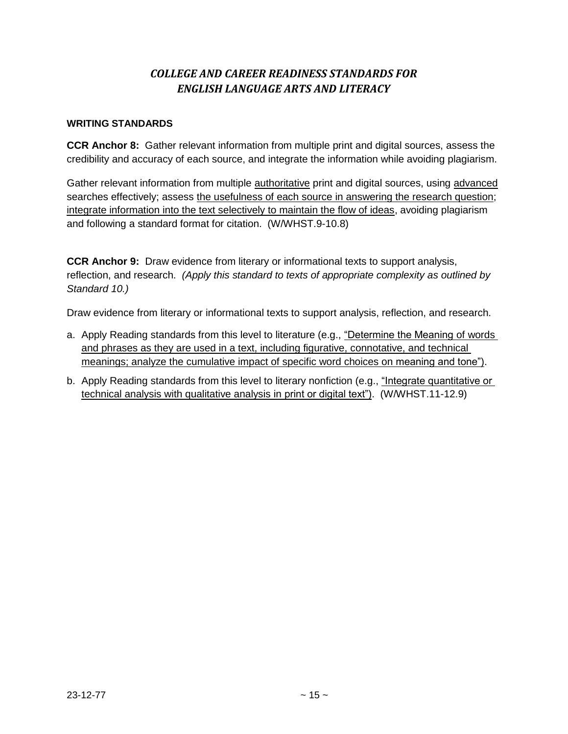#### **WRITING STANDARDS**

**CCR Anchor 8:** Gather relevant information from multiple print and digital sources, assess the credibility and accuracy of each source, and integrate the information while avoiding plagiarism.

Gather relevant information from multiple authoritative print and digital sources, using advanced searches effectively; assess the usefulness of each source in answering the research question; integrate information into the text selectively to maintain the flow of ideas, avoiding plagiarism and following a standard format for citation. (W/WHST.9-10.8)

**CCR Anchor 9:** Draw evidence from literary or informational texts to support analysis, reflection, and research. *(Apply this standard to texts of appropriate complexity as outlined by Standard 10.)* 

Draw evidence from literary or informational texts to support analysis, reflection, and research.

- a. Apply Reading standards from this level to literature (e.g., "Determine the Meaning of words and phrases as they are used in a text, including figurative, connotative, and technical meanings; analyze the cumulative impact of specific word choices on meaning and tone").
- b. Apply Reading standards from this level to literary nonfiction (e.g., "Integrate quantitative or technical analysis with qualitative analysis in print or digital text"). (W/WHST.11-12.9)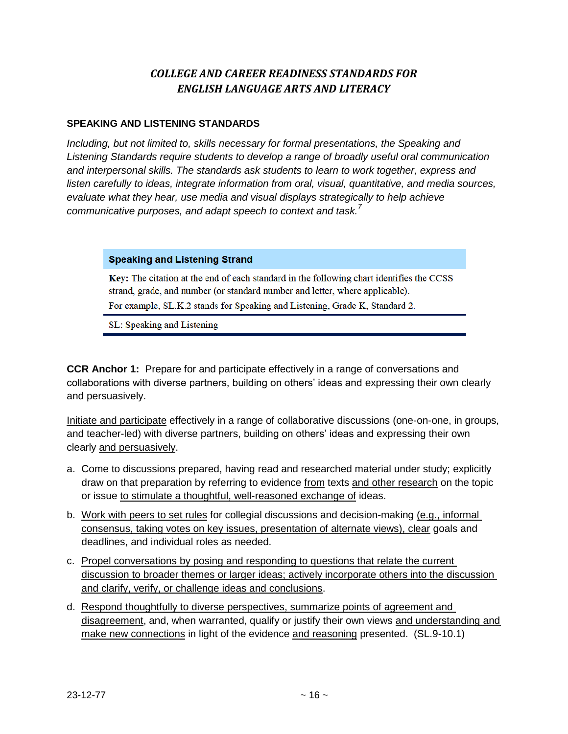#### **SPEAKING AND LISTENING STANDARDS**

*Including, but not limited to, skills necessary for formal presentations, the Speaking and Listening Standards require students to develop a range of broadly useful oral communication and interpersonal skills. The standards ask students to learn to work together, express and listen carefully to ideas, integrate information from oral, visual, quantitative, and media sources, evaluate what they hear, use media and visual displays strategically to help achieve communicative purposes, and adapt speech to context and task.<sup>7</sup>*

#### **Speaking and Listening Strand**

Key: The citation at the end of each standard in the following chart identifies the CCSS strand, grade, and number (or standard number and letter, where applicable).

For example, SL.K.2 stands for Speaking and Listening, Grade K, Standard 2.

SL: Speaking and Listening

**CCR Anchor 1:** Prepare for and participate effectively in a range of conversations and collaborations with diverse partners, building on others' ideas and expressing their own clearly and persuasively.

Initiate and participate effectively in a range of collaborative discussions (one-on-one, in groups, and teacher-led) with diverse partners, building on others' ideas and expressing their own clearly and persuasively.

- a. Come to discussions prepared, having read and researched material under study; explicitly draw on that preparation by referring to evidence from texts and other research on the topic or issue to stimulate a thoughtful, well-reasoned exchange of ideas.
- b. Work with peers to set rules for collegial discussions and decision-making (e.g., informal consensus, taking votes on key issues, presentation of alternate views), clear goals and deadlines, and individual roles as needed.
- c. Propel conversations by posing and responding to questions that relate the current discussion to broader themes or larger ideas; actively incorporate others into the discussion and clarify, verify, or challenge ideas and conclusions.
- d. Respond thoughtfully to diverse perspectives, summarize points of agreement and disagreement, and, when warranted, qualify or justify their own views and understanding and make new connections in light of the evidence and reasoning presented. (SL.9-10.1)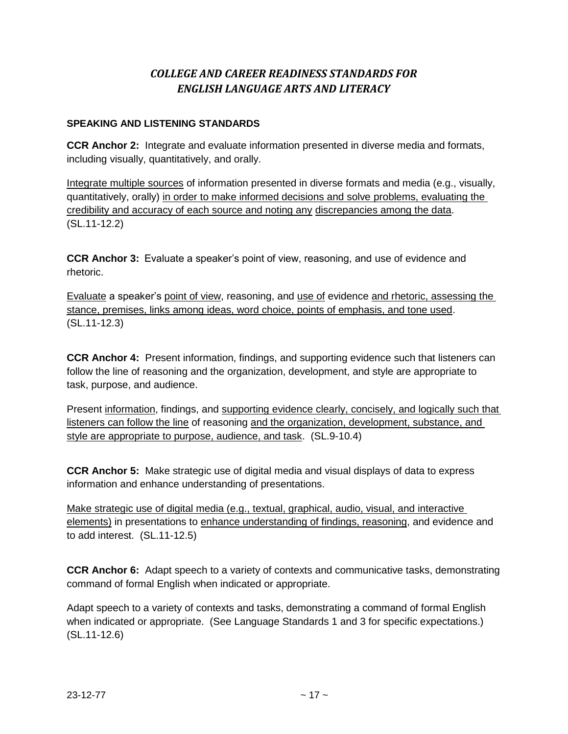#### **SPEAKING AND LISTENING STANDARDS**

**CCR Anchor 2:** Integrate and evaluate information presented in diverse media and formats, including visually, quantitatively, and orally.

Integrate multiple sources of information presented in diverse formats and media (e.g., visually, quantitatively, orally) in order to make informed decisions and solve problems, evaluating the credibility and accuracy of each source and noting any discrepancies among the data. (SL.11-12.2)

**CCR Anchor 3:** Evaluate a speaker's point of view, reasoning, and use of evidence and rhetoric.

Evaluate a speaker's point of view, reasoning, and use of evidence and rhetoric, assessing the stance, premises, links among ideas, word choice, points of emphasis, and tone used. (SL.11-12.3)

**CCR Anchor 4:** Present information, findings, and supporting evidence such that listeners can follow the line of reasoning and the organization, development, and style are appropriate to task, purpose, and audience.

Present information, findings, and supporting evidence clearly, concisely, and logically such that listeners can follow the line of reasoning and the organization, development, substance, and style are appropriate to purpose, audience, and task. (SL.9-10.4)

**CCR Anchor 5:** Make strategic use of digital media and visual displays of data to express information and enhance understanding of presentations.

Make strategic use of digital media (e.g., textual, graphical, audio, visual, and interactive elements) in presentations to enhance understanding of findings, reasoning, and evidence and to add interest. (SL.11-12.5)

**CCR Anchor 6:** Adapt speech to a variety of contexts and communicative tasks, demonstrating command of formal English when indicated or appropriate.

Adapt speech to a variety of contexts and tasks, demonstrating a command of formal English when indicated or appropriate. (See Language Standards 1 and 3 for specific expectations.) (SL.11-12.6)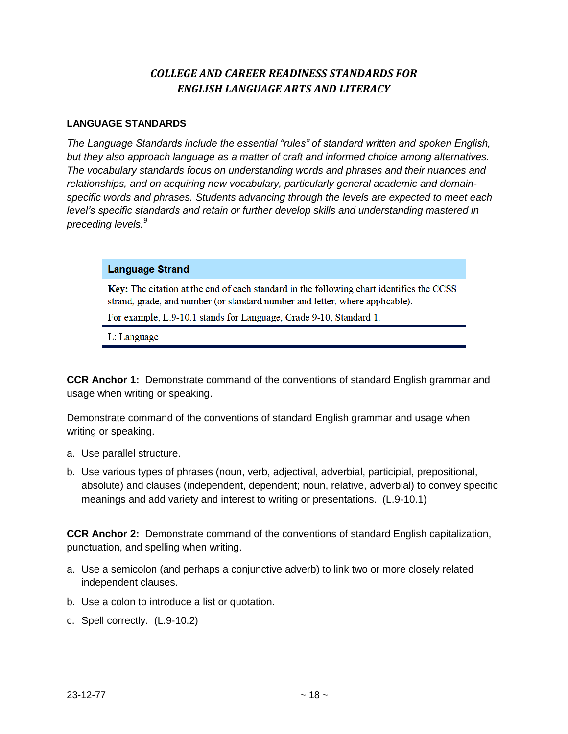#### **LANGUAGE STANDARDS**

*The Language Standards include the essential "rules" of standard written and spoken English, but they also approach language as a matter of craft and informed choice among alternatives. The vocabulary standards focus on understanding words and phrases and their nuances and relationships, and on acquiring new vocabulary, particularly general academic and domainspecific words and phrases. Students advancing through the levels are expected to meet each level's specific standards and retain or further develop skills and understanding mastered in preceding levels.<sup>9</sup>*

#### **Language Strand**

Key: The citation at the end of each standard in the following chart identifies the CCSS strand, grade, and number (or standard number and letter, where applicable).

For example, L.9-10.1 stands for Language, Grade 9-10, Standard 1.

L: Language

**CCR Anchor 1:** Demonstrate command of the conventions of standard English grammar and usage when writing or speaking.

Demonstrate command of the conventions of standard English grammar and usage when writing or speaking.

- a. Use parallel structure.
- b. Use various types of phrases (noun, verb, adjectival, adverbial, participial, prepositional, absolute) and clauses (independent, dependent; noun, relative, adverbial) to convey specific meanings and add variety and interest to writing or presentations. (L.9-10.1)

**CCR Anchor 2:** Demonstrate command of the conventions of standard English capitalization, punctuation, and spelling when writing.

- a. Use a semicolon (and perhaps a conjunctive adverb) to link two or more closely related independent clauses.
- b. Use a colon to introduce a list or quotation.
- c. Spell correctly. (L.9-10.2)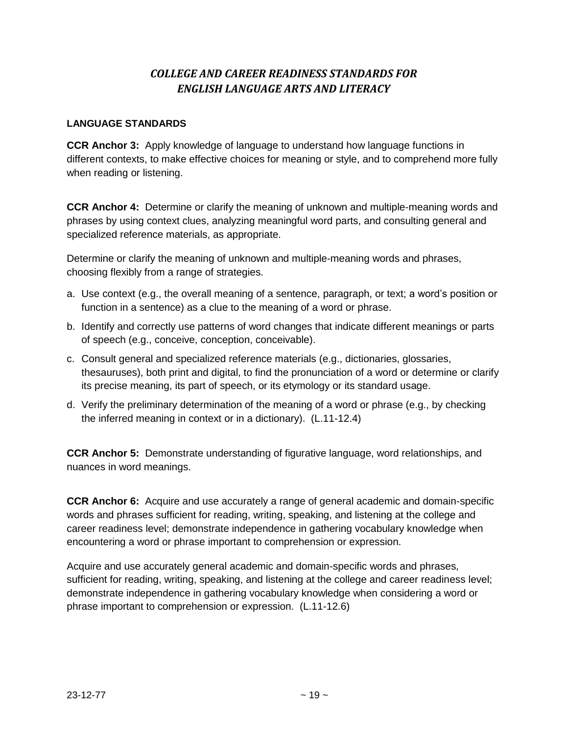#### **LANGUAGE STANDARDS**

**CCR Anchor 3:** Apply knowledge of language to understand how language functions in different contexts, to make effective choices for meaning or style, and to comprehend more fully when reading or listening.

**CCR Anchor 4:** Determine or clarify the meaning of unknown and multiple-meaning words and phrases by using context clues, analyzing meaningful word parts, and consulting general and specialized reference materials, as appropriate.

Determine or clarify the meaning of unknown and multiple-meaning words and phrases, choosing flexibly from a range of strategies.

- a. Use context (e.g., the overall meaning of a sentence, paragraph, or text; a word's position or function in a sentence) as a clue to the meaning of a word or phrase.
- b. Identify and correctly use patterns of word changes that indicate different meanings or parts of speech (e.g., conceive, conception, conceivable).
- c. Consult general and specialized reference materials (e.g., dictionaries, glossaries, thesauruses), both print and digital, to find the pronunciation of a word or determine or clarify its precise meaning, its part of speech, or its etymology or its standard usage.
- d. Verify the preliminary determination of the meaning of a word or phrase (e.g., by checking the inferred meaning in context or in a dictionary). (L.11-12.4)

**CCR Anchor 5:** Demonstrate understanding of figurative language, word relationships, and nuances in word meanings.

**CCR Anchor 6:** Acquire and use accurately a range of general academic and domain-specific words and phrases sufficient for reading, writing, speaking, and listening at the college and career readiness level; demonstrate independence in gathering vocabulary knowledge when encountering a word or phrase important to comprehension or expression.

Acquire and use accurately general academic and domain-specific words and phrases, sufficient for reading, writing, speaking, and listening at the college and career readiness level; demonstrate independence in gathering vocabulary knowledge when considering a word or phrase important to comprehension or expression. (L.11-12.6)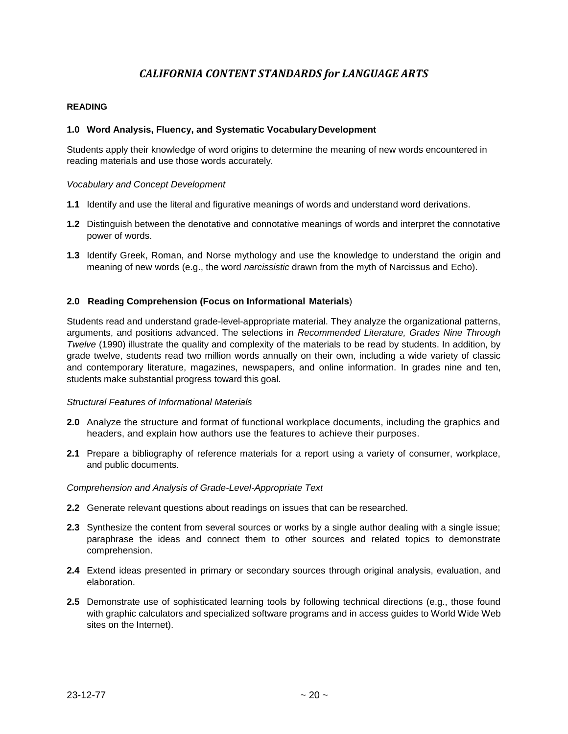## *CALIFORNIA CONTENT STANDARDS for LANGUAGE ARTS*

#### **READING**

#### **1.0 Word Analysis, Fluency, and Systematic VocabularyDevelopment**

Students apply their knowledge of word origins to determine the meaning of new words encountered in reading materials and use those words accurately.

#### *Vocabulary and Concept Development*

- **1.1** Identify and use the literal and figurative meanings of words and understand word derivations.
- **1.2** Distinguish between the denotative and connotative meanings of words and interpret the connotative power of words.
- **1.3** Identify Greek, Roman, and Norse mythology and use the knowledge to understand the origin and meaning of new words (e.g., the word *narcissistic* drawn from the myth of Narcissus and Echo).

#### **2.0 Reading Comprehension (Focus on Informational Materials**)

Students read and understand grade-level-appropriate material. They analyze the organizational patterns, arguments, and positions advanced. The selections in *Recommended Literature, Grades Nine Through Twelve* (1990) illustrate the quality and complexity of the materials to be read by students. In addition, by grade twelve, students read two million words annually on their own, including a wide variety of classic and contemporary literature, magazines, newspapers, and online information. In grades nine and ten, students make substantial progress toward this goal.

#### *Structural Features of Informational Materials*

- **2.0** Analyze the structure and format of functional workplace documents, including the graphics and headers, and explain how authors use the features to achieve their purposes.
- **2.1** Prepare a bibliography of reference materials for a report using a variety of consumer, workplace, and public documents.

#### *Comprehension and Analysis of Grade-Level-Appropriate Text*

- **2.2** Generate relevant questions about readings on issues that can be researched.
- **2.3** Synthesize the content from several sources or works by a single author dealing with a single issue; paraphrase the ideas and connect them to other sources and related topics to demonstrate comprehension.
- **2.4** Extend ideas presented in primary or secondary sources through original analysis, evaluation, and elaboration.
- **2.5** Demonstrate use of sophisticated learning tools by following technical directions (e.g., those found with graphic calculators and specialized software programs and in access guides to World Wide Web sites on the Internet).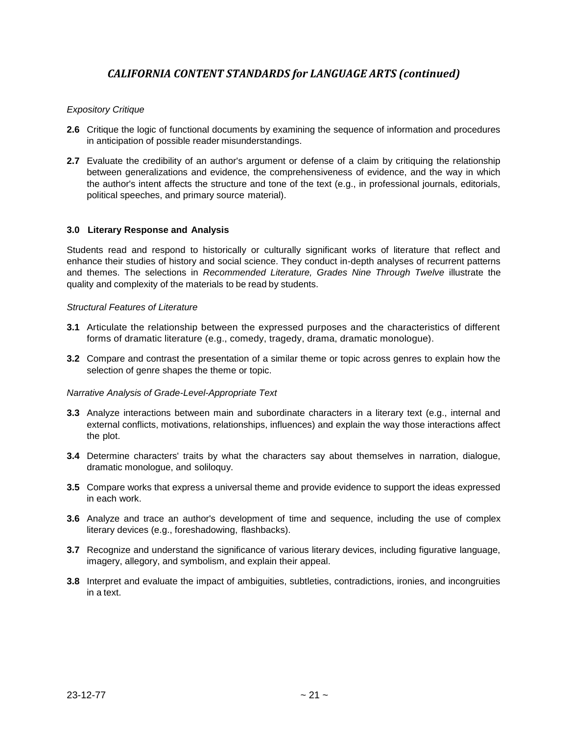#### *Expository Critique*

- **2.6** Critique the logic of functional documents by examining the sequence of information and procedures in anticipation of possible reader misunderstandings.
- **2.7** Evaluate the credibility of an author's argument or defense of a claim by critiquing the relationship between generalizations and evidence, the comprehensiveness of evidence, and the way in which the author's intent affects the structure and tone of the text (e.g., in professional journals, editorials, political speeches, and primary source material).

#### **3.0 Literary Response and Analysis**

Students read and respond to historically or culturally significant works of literature that reflect and enhance their studies of history and social science. They conduct in-depth analyses of recurrent patterns and themes. The selections in *Recommended Literature, Grades Nine Through Twelve* illustrate the quality and complexity of the materials to be read by students.

#### *Structural Features of Literature*

- **3.1** Articulate the relationship between the expressed purposes and the characteristics of different forms of dramatic literature (e.g., comedy, tragedy, drama, dramatic monologue).
- **3.2** Compare and contrast the presentation of a similar theme or topic across genres to explain how the selection of genre shapes the theme or topic.

#### *Narrative Analysis of Grade-Level-Appropriate Text*

- **3.3** Analyze interactions between main and subordinate characters in a literary text (e.g., internal and external conflicts, motivations, relationships, influences) and explain the way those interactions affect the plot.
- **3.4** Determine characters' traits by what the characters say about themselves in narration, dialogue, dramatic monologue, and soliloquy.
- **3.5** Compare works that express a universal theme and provide evidence to support the ideas expressed in each work.
- **3.6** Analyze and trace an author's development of time and sequence, including the use of complex literary devices (e.g., foreshadowing, flashbacks).
- **3.7** Recognize and understand the significance of various literary devices, including figurative language, imagery, allegory, and symbolism, and explain their appeal.
- **3.8** Interpret and evaluate the impact of ambiguities, subtleties, contradictions, ironies, and incongruities in a text.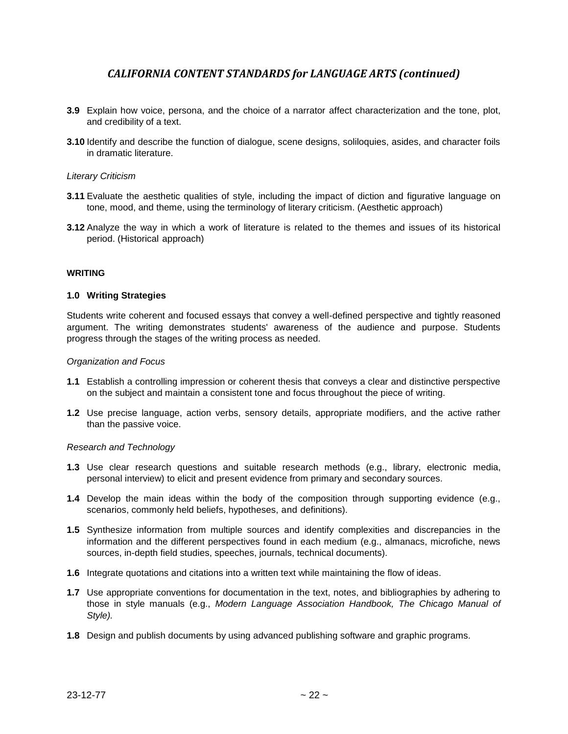- **3.9** Explain how voice, persona, and the choice of a narrator affect characterization and the tone, plot, and credibility of a text.
- **3.10** Identify and describe the function of dialogue, scene designs, soliloquies, asides, and character foils in dramatic literature.

#### *Literary Criticism*

- **3.11** Evaluate the aesthetic qualities of style, including the impact of diction and figurative language on tone, mood, and theme, using the terminology of literary criticism. (Aesthetic approach)
- **3.12** Analyze the way in which a work of literature is related to the themes and issues of its historical period. (Historical approach)

#### **WRITING**

#### **1.0 Writing Strategies**

Students write coherent and focused essays that convey a well-defined perspective and tightly reasoned argument. The writing demonstrates students' awareness of the audience and purpose. Students progress through the stages of the writing process as needed.

#### *Organization and Focus*

- **1.1** Establish a controlling impression or coherent thesis that conveys a clear and distinctive perspective on the subject and maintain a consistent tone and focus throughout the piece of writing.
- **1.2** Use precise language, action verbs, sensory details, appropriate modifiers, and the active rather than the passive voice.

#### *Research and Technology*

- **1.3** Use clear research questions and suitable research methods (e.g., library, electronic media, personal interview) to elicit and present evidence from primary and secondary sources.
- **1.4** Develop the main ideas within the body of the composition through supporting evidence (e.g., scenarios, commonly held beliefs, hypotheses, and definitions).
- **1.5** Synthesize information from multiple sources and identify complexities and discrepancies in the information and the different perspectives found in each medium (e.g., almanacs, microfiche, news sources, in-depth field studies, speeches, journals, technical documents).
- **1.6** Integrate quotations and citations into a written text while maintaining the flow of ideas.
- **1.7** Use appropriate conventions for documentation in the text, notes, and bibliographies by adhering to those in style manuals (e.g., *Modern Language Association Handbook, The Chicago Manual of Style).*
- **1.8** Design and publish documents by using advanced publishing software and graphic programs.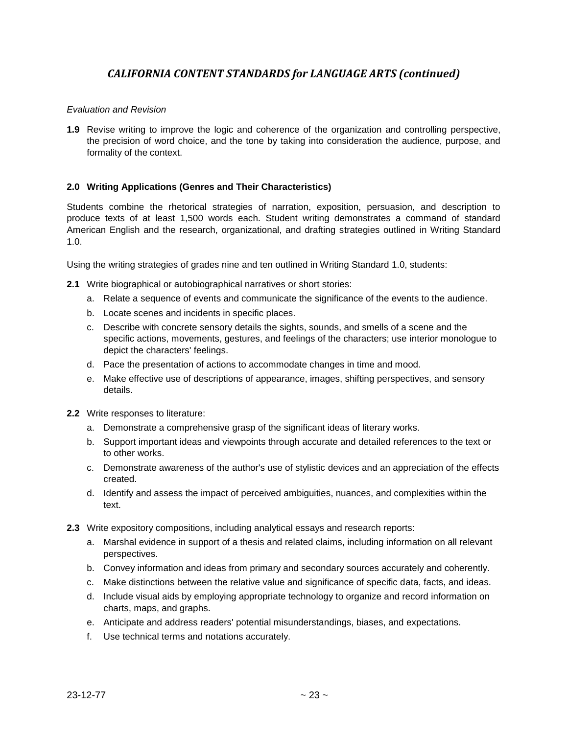#### *Evaluation and Revision*

**1.9** Revise writing to improve the logic and coherence of the organization and controlling perspective, the precision of word choice, and the tone by taking into consideration the audience, purpose, and formality of the context.

#### **2.0 Writing Applications (Genres and Their Characteristics)**

Students combine the rhetorical strategies of narration, exposition, persuasion, and description to produce texts of at least 1,500 words each. Student writing demonstrates a command of standard American English and the research, organizational, and drafting strategies outlined in Writing Standard 1.0.

Using the writing strategies of grades nine and ten outlined in Writing Standard 1.0, students:

**2.1** Write biographical or autobiographical narratives or short stories:

- a. Relate a sequence of events and communicate the significance of the events to the audience.
- b. Locate scenes and incidents in specific places.
- c. Describe with concrete sensory details the sights, sounds, and smells of a scene and the specific actions, movements, gestures, and feelings of the characters; use interior monologue to depict the characters' feelings.
- d. Pace the presentation of actions to accommodate changes in time and mood.
- e. Make effective use of descriptions of appearance, images, shifting perspectives, and sensory details.
- **2.2** Write responses to literature:
	- a. Demonstrate a comprehensive grasp of the significant ideas of literary works.
	- b. Support important ideas and viewpoints through accurate and detailed references to the text or to other works.
	- c. Demonstrate awareness of the author's use of stylistic devices and an appreciation of the effects created.
	- d. Identify and assess the impact of perceived ambiguities, nuances, and complexities within the text.
- **2.3** Write expository compositions, including analytical essays and research reports:
	- a. Marshal evidence in support of a thesis and related claims, including information on all relevant perspectives.
	- b. Convey information and ideas from primary and secondary sources accurately and coherently.
	- c. Make distinctions between the relative value and significance of specific data, facts, and ideas.
	- d. Include visual aids by employing appropriate technology to organize and record information on charts, maps, and graphs.
	- e. Anticipate and address readers' potential misunderstandings, biases, and expectations.
	- f. Use technical terms and notations accurately.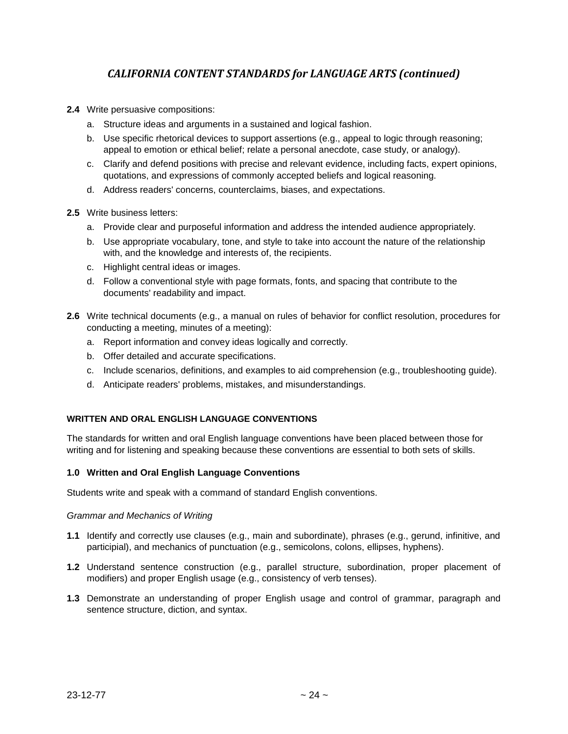- **2.4** Write persuasive compositions:
	- a. Structure ideas and arguments in a sustained and logical fashion.
	- b. Use specific rhetorical devices to support assertions (e.g., appeal to logic through reasoning; appeal to emotion or ethical belief; relate a personal anecdote, case study, or analogy).
	- c. Clarify and defend positions with precise and relevant evidence, including facts, expert opinions, quotations, and expressions of commonly accepted beliefs and logical reasoning.
	- d. Address readers' concerns, counterclaims, biases, and expectations.
- **2.5** Write business letters:
	- a. Provide clear and purposeful information and address the intended audience appropriately.
	- b. Use appropriate vocabulary, tone, and style to take into account the nature of the relationship with, and the knowledge and interests of, the recipients.
	- c. Highlight central ideas or images.
	- d. Follow a conventional style with page formats, fonts, and spacing that contribute to the documents' readability and impact.
- **2.6** Write technical documents (e.g., a manual on rules of behavior for conflict resolution, procedures for conducting a meeting, minutes of a meeting):
	- a. Report information and convey ideas logically and correctly.
	- b. Offer detailed and accurate specifications.
	- c. Include scenarios, definitions, and examples to aid comprehension (e.g., troubleshooting guide).
	- d. Anticipate readers' problems, mistakes, and misunderstandings.

#### **WRITTEN AND ORAL ENGLISH LANGUAGE CONVENTIONS**

The standards for written and oral English language conventions have been placed between those for writing and for listening and speaking because these conventions are essential to both sets of skills.

#### **1.0 Written and Oral English Language Conventions**

Students write and speak with a command of standard English conventions.

#### *Grammar and Mechanics of Writing*

- **1.1** Identify and correctly use clauses (e.g., main and subordinate), phrases (e.g., gerund, infinitive, and participial), and mechanics of punctuation (e.g., semicolons, colons, ellipses, hyphens).
- **1.2** Understand sentence construction (e.g., parallel structure, subordination, proper placement of modifiers) and proper English usage (e.g., consistency of verb tenses).
- **1.3** Demonstrate an understanding of proper English usage and control of grammar, paragraph and sentence structure, diction, and syntax.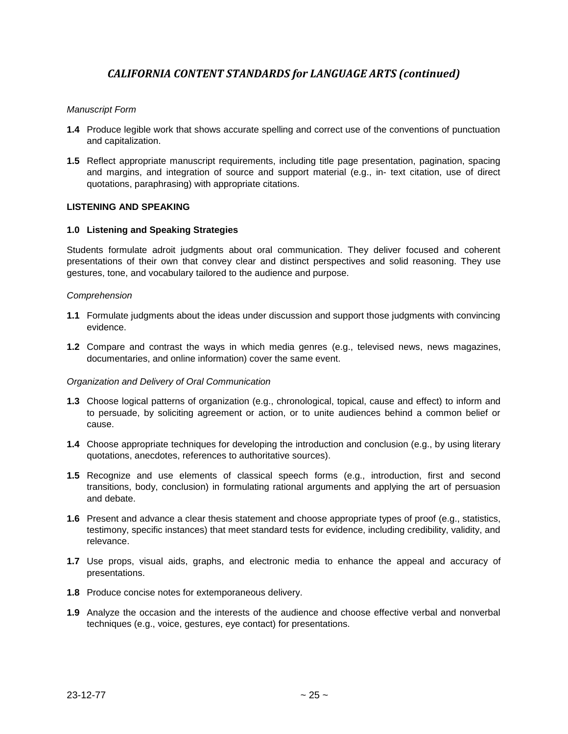#### *Manuscript Form*

- **1.4** Produce legible work that shows accurate spelling and correct use of the conventions of punctuation and capitalization.
- **1.5** Reflect appropriate manuscript requirements, including title page presentation, pagination, spacing and margins, and integration of source and support material (e.g., in- text citation, use of direct quotations, paraphrasing) with appropriate citations.

#### **LISTENING AND SPEAKING**

#### **1.0 Listening and Speaking Strategies**

Students formulate adroit judgments about oral communication. They deliver focused and coherent presentations of their own that convey clear and distinct perspectives and solid reasoning. They use gestures, tone, and vocabulary tailored to the audience and purpose.

#### *Comprehension*

- **1.1** Formulate judgments about the ideas under discussion and support those judgments with convincing evidence.
- **1.2** Compare and contrast the ways in which media genres (e.g., televised news, news magazines, documentaries, and online information) cover the same event.

#### *Organization and Delivery of Oral Communication*

- **1.3** Choose logical patterns of organization (e.g., chronological, topical, cause and effect) to inform and to persuade, by soliciting agreement or action, or to unite audiences behind a common belief or cause.
- **1.4** Choose appropriate techniques for developing the introduction and conclusion (e.g., by using literary quotations, anecdotes, references to authoritative sources).
- **1.5** Recognize and use elements of classical speech forms (e.g., introduction, first and second transitions, body, conclusion) in formulating rational arguments and applying the art of persuasion and debate.
- **1.6** Present and advance a clear thesis statement and choose appropriate types of proof (e.g., statistics, testimony, specific instances) that meet standard tests for evidence, including credibility, validity, and relevance.
- **1.7** Use props, visual aids, graphs, and electronic media to enhance the appeal and accuracy of presentations.
- **1.8** Produce concise notes for extemporaneous delivery.
- **1.9** Analyze the occasion and the interests of the audience and choose effective verbal and nonverbal techniques (e.g., voice, gestures, eye contact) for presentations.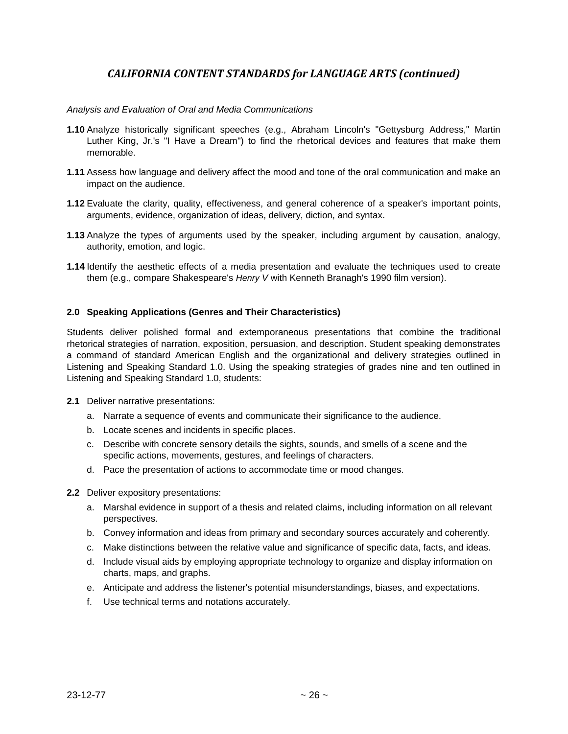#### *Analysis and Evaluation of Oral and Media Communications*

- **1.10** Analyze historically significant speeches (e.g., Abraham Lincoln's "Gettysburg Address," Martin Luther King, Jr.'s "I Have a Dream") to find the rhetorical devices and features that make them memorable.
- **1.11** Assess how language and delivery affect the mood and tone of the oral communication and make an impact on the audience.
- **1.12** Evaluate the clarity, quality, effectiveness, and general coherence of a speaker's important points, arguments, evidence, organization of ideas, delivery, diction, and syntax.
- **1.13** Analyze the types of arguments used by the speaker, including argument by causation, analogy, authority, emotion, and logic.
- **1.14** Identify the aesthetic effects of a media presentation and evaluate the techniques used to create them (e.g., compare Shakespeare's *Henry V* with Kenneth Branagh's 1990 film version).

#### **2.0 Speaking Applications (Genres and Their Characteristics)**

Students deliver polished formal and extemporaneous presentations that combine the traditional rhetorical strategies of narration, exposition, persuasion, and description. Student speaking demonstrates a command of standard American English and the organizational and delivery strategies outlined in Listening and Speaking Standard 1.0. Using the speaking strategies of grades nine and ten outlined in Listening and Speaking Standard 1.0, students:

- **2.1** Deliver narrative presentations:
	- a. Narrate a sequence of events and communicate their significance to the audience.
	- b. Locate scenes and incidents in specific places.
	- c. Describe with concrete sensory details the sights, sounds, and smells of a scene and the specific actions, movements, gestures, and feelings of characters.
	- d. Pace the presentation of actions to accommodate time or mood changes.
- **2.2** Deliver expository presentations:
	- a. Marshal evidence in support of a thesis and related claims, including information on all relevant perspectives.
	- b. Convey information and ideas from primary and secondary sources accurately and coherently.
	- c. Make distinctions between the relative value and significance of specific data, facts, and ideas.
	- d. Include visual aids by employing appropriate technology to organize and display information on charts, maps, and graphs.
	- e. Anticipate and address the listener's potential misunderstandings, biases, and expectations.
	- f. Use technical terms and notations accurately.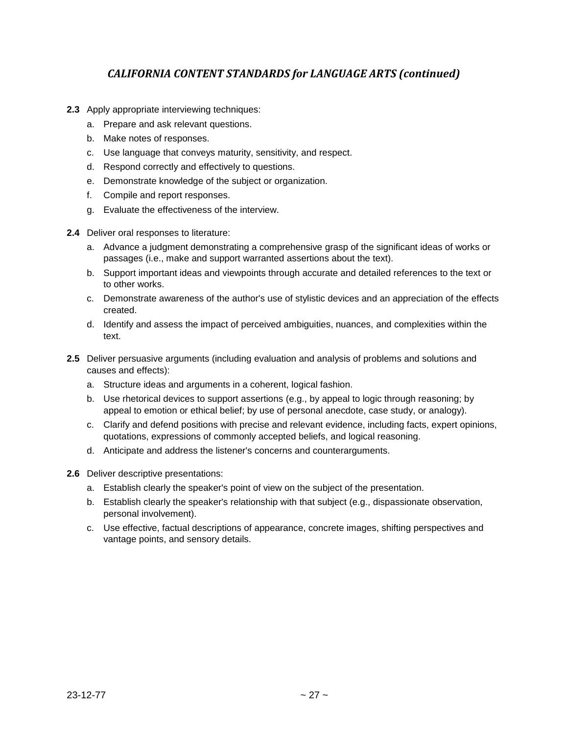- **2.3** Apply appropriate interviewing techniques:
	- a. Prepare and ask relevant questions.
	- b. Make notes of responses.
	- c. Use language that conveys maturity, sensitivity, and respect.
	- d. Respond correctly and effectively to questions.
	- e. Demonstrate knowledge of the subject or organization.
	- f. Compile and report responses.
	- g. Evaluate the effectiveness of the interview.
- **2.4** Deliver oral responses to literature:
	- a. Advance a judgment demonstrating a comprehensive grasp of the significant ideas of works or passages (i.e., make and support warranted assertions about the text).
	- b. Support important ideas and viewpoints through accurate and detailed references to the text or to other works.
	- c. Demonstrate awareness of the author's use of stylistic devices and an appreciation of the effects created.
	- d. Identify and assess the impact of perceived ambiguities, nuances, and complexities within the text.
- **2.5** Deliver persuasive arguments (including evaluation and analysis of problems and solutions and causes and effects):
	- a. Structure ideas and arguments in a coherent, logical fashion.
	- b. Use rhetorical devices to support assertions (e.g., by appeal to logic through reasoning; by appeal to emotion or ethical belief; by use of personal anecdote, case study, or analogy).
	- c. Clarify and defend positions with precise and relevant evidence, including facts, expert opinions, quotations, expressions of commonly accepted beliefs, and logical reasoning.
	- d. Anticipate and address the listener's concerns and counterarguments.
- **2.6** Deliver descriptive presentations:
	- a. Establish clearly the speaker's point of view on the subject of the presentation.
	- b. Establish clearly the speaker's relationship with that subject (e.g., dispassionate observation, personal involvement).
	- c. Use effective, factual descriptions of appearance, concrete images, shifting perspectives and vantage points, and sensory details.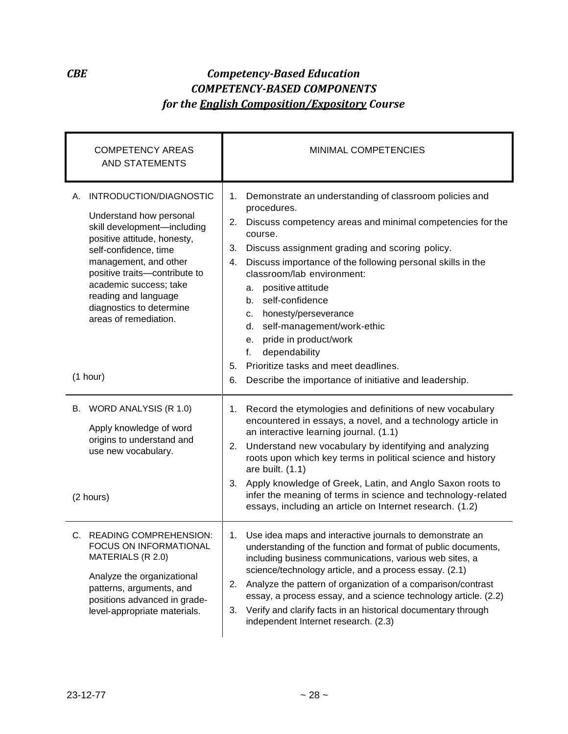## *CBE Competency-Based Education COMPETENCY-BASED COMPONENTS for the English Composition/Expository Course*

| <b>COMPETENCY AREAS</b><br><b>AND STATEMENTS</b>                                                                                                                                                                                                                                                                 | MINIMAL COMPETENCIES                                                                                                                                                                                                                                                                                                                                                                                                                                                                                                      |
|------------------------------------------------------------------------------------------------------------------------------------------------------------------------------------------------------------------------------------------------------------------------------------------------------------------|---------------------------------------------------------------------------------------------------------------------------------------------------------------------------------------------------------------------------------------------------------------------------------------------------------------------------------------------------------------------------------------------------------------------------------------------------------------------------------------------------------------------------|
| INTRODUCTION/DIAGNOSTIC<br>А.<br>Understand how personal<br>skill development-including<br>positive attitude, honesty,<br>self-confidence, time<br>management, and other<br>positive traits-contribute to<br>academic success; take<br>reading and language<br>diagnostics to determine<br>areas of remediation. | Demonstrate an understanding of classroom policies and<br>1.<br>procedures.<br>Discuss competency areas and minimal competencies for the<br>2.<br>course.<br>Discuss assignment grading and scoring policy.<br>3.<br>Discuss importance of the following personal skills in the<br>4.<br>classroom/lab environment:<br>positive attitude<br>а.<br>self-confidence<br>b.<br>honesty/perseverance<br>c.<br>self-management/work-ethic<br>d.<br>pride in product/work<br>е.<br>dependability<br>f.                           |
| (1 hour)                                                                                                                                                                                                                                                                                                         | Prioritize tasks and meet deadlines.<br>5.<br>Describe the importance of initiative and leadership.<br>6.                                                                                                                                                                                                                                                                                                                                                                                                                 |
| B. WORD ANALYSIS (R 1.0)<br>Apply knowledge of word<br>origins to understand and<br>use new vocabulary.<br>(2 hours)                                                                                                                                                                                             | Record the etymologies and definitions of new vocabulary<br>1.<br>encountered in essays, a novel, and a technology article in<br>an interactive learning journal. (1.1)<br>Understand new vocabulary by identifying and analyzing<br>2.<br>roots upon which key terms in political science and history<br>are built. (1.1)<br>Apply knowledge of Greek, Latin, and Anglo Saxon roots to<br>3.<br>infer the meaning of terms in science and technology-related<br>essays, including an article on Internet research. (1.2) |
| C. READING COMPREHENSION:<br>FOCUS ON INFORMATIONAL<br>MATERIALS (R 2.0)<br>Analyze the organizational<br>patterns, arguments, and<br>positions advanced in grade-<br>level-appropriate materials.                                                                                                               | 1. Use idea maps and interactive journals to demonstrate an<br>understanding of the function and format of public documents,<br>including business communications, various web sites, a<br>science/technology article, and a process essay. (2.1)<br>Analyze the pattern of organization of a comparison/contrast<br>2.<br>essay, a process essay, and a science technology article. (2.2)<br>Verify and clarify facts in an historical documentary through<br>3.<br>independent Internet research. (2.3)                 |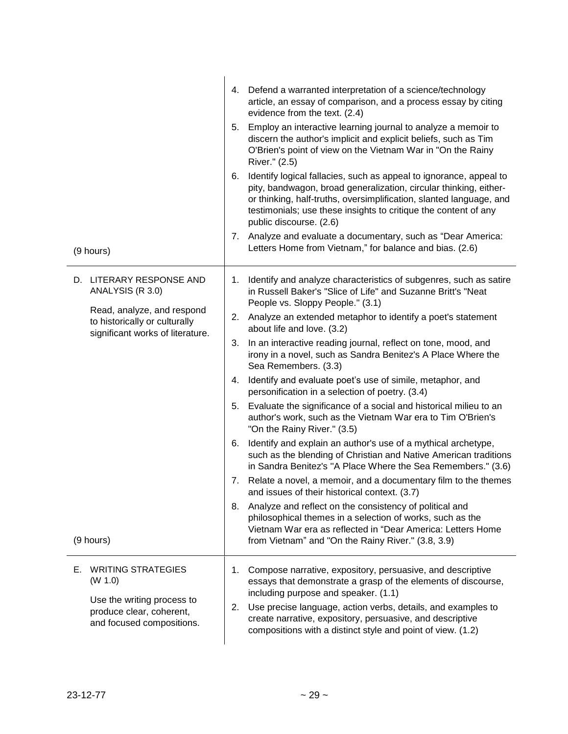|                                                                                                                                                    | Defend a warranted interpretation of a science/technology<br>4.<br>article, an essay of comparison, and a process essay by citing<br>evidence from the text. (2.4)                                                                                                                                                 |
|----------------------------------------------------------------------------------------------------------------------------------------------------|--------------------------------------------------------------------------------------------------------------------------------------------------------------------------------------------------------------------------------------------------------------------------------------------------------------------|
|                                                                                                                                                    | Employ an interactive learning journal to analyze a memoir to<br>5.<br>discern the author's implicit and explicit beliefs, such as Tim<br>O'Brien's point of view on the Vietnam War in "On the Rainy<br>River." (2.5)                                                                                             |
|                                                                                                                                                    | Identify logical fallacies, such as appeal to ignorance, appeal to<br>6.<br>pity, bandwagon, broad generalization, circular thinking, either-<br>or thinking, half-truths, oversimplification, slanted language, and<br>testimonials; use these insights to critique the content of any<br>public discourse. (2.6) |
| (9 hours)                                                                                                                                          | 7. Analyze and evaluate a documentary, such as "Dear America:<br>Letters Home from Vietnam," for balance and bias. (2.6)                                                                                                                                                                                           |
| LITERARY RESPONSE AND<br>D.<br>ANALYSIS (R 3.0)<br>Read, analyze, and respond<br>to historically or culturally<br>significant works of literature. | Identify and analyze characteristics of subgenres, such as satire<br>1.<br>in Russell Baker's "Slice of Life" and Suzanne Britt's "Neat<br>People vs. Sloppy People." (3.1)                                                                                                                                        |
|                                                                                                                                                    | Analyze an extended metaphor to identify a poet's statement<br>2.<br>about life and love. (3.2)                                                                                                                                                                                                                    |
|                                                                                                                                                    | In an interactive reading journal, reflect on tone, mood, and<br>3.<br>irony in a novel, such as Sandra Benitez's A Place Where the<br>Sea Remembers. (3.3)                                                                                                                                                        |
|                                                                                                                                                    | Identify and evaluate poet's use of simile, metaphor, and<br>4.<br>personification in a selection of poetry. (3.4)                                                                                                                                                                                                 |
|                                                                                                                                                    | Evaluate the significance of a social and historical milieu to an<br>5.<br>author's work, such as the Vietnam War era to Tim O'Brien's<br>"On the Rainy River." (3.5)                                                                                                                                              |
|                                                                                                                                                    | Identify and explain an author's use of a mythical archetype,<br>6.<br>such as the blending of Christian and Native American traditions<br>in Sandra Benitez's "A Place Where the Sea Remembers." (3.6)                                                                                                            |
|                                                                                                                                                    | Relate a novel, a memoir, and a documentary film to the themes<br>7.<br>and issues of their historical context. (3.7)                                                                                                                                                                                              |
|                                                                                                                                                    | 8.<br>Analyze and reflect on the consistency of political and<br>philosophical themes in a selection of works, such as the<br>Vietnam War era as reflected in "Dear America: Letters Home                                                                                                                          |
| (9 hours)                                                                                                                                          | from Vietnam" and "On the Rainy River." (3.8, 3.9)                                                                                                                                                                                                                                                                 |
| <b>WRITING STRATEGIES</b><br>Е.<br>(W 1.0)                                                                                                         | Compose narrative, expository, persuasive, and descriptive<br>1.<br>essays that demonstrate a grasp of the elements of discourse,                                                                                                                                                                                  |
| Use the writing process to<br>produce clear, coherent,<br>and focused compositions.                                                                | including purpose and speaker. (1.1)<br>Use precise language, action verbs, details, and examples to<br>2.<br>create narrative, expository, persuasive, and descriptive<br>compositions with a distinct style and point of view. (1.2)                                                                             |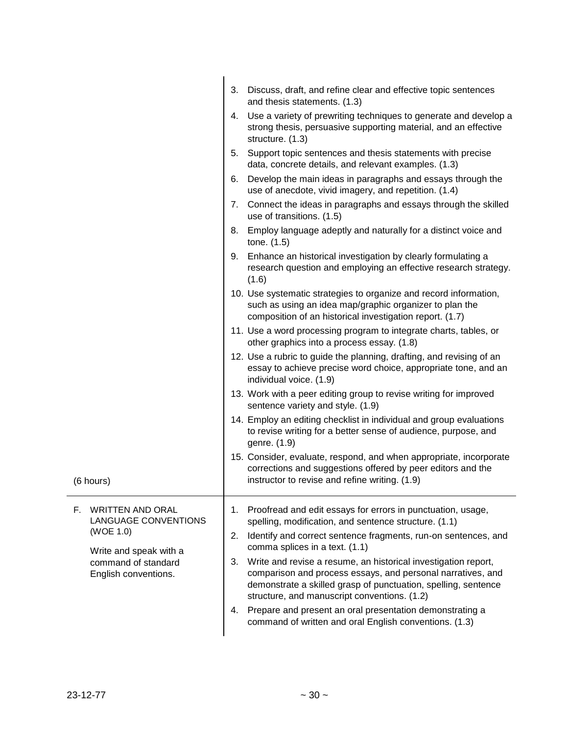|                                                          | Discuss, draft, and refine clear and effective topic sentences<br>3.<br>and thesis statements. (1.3)                                                                                                                                                  |
|----------------------------------------------------------|-------------------------------------------------------------------------------------------------------------------------------------------------------------------------------------------------------------------------------------------------------|
|                                                          | 4. Use a variety of prewriting techniques to generate and develop a<br>strong thesis, persuasive supporting material, and an effective<br>structure. (1.3)                                                                                            |
|                                                          | Support topic sentences and thesis statements with precise<br>5.<br>data, concrete details, and relevant examples. (1.3)                                                                                                                              |
|                                                          | Develop the main ideas in paragraphs and essays through the<br>6.<br>use of anecdote, vivid imagery, and repetition. (1.4)                                                                                                                            |
|                                                          | Connect the ideas in paragraphs and essays through the skilled<br>7.<br>use of transitions. (1.5)                                                                                                                                                     |
|                                                          | Employ language adeptly and naturally for a distinct voice and<br>8.<br>tone. (1.5)                                                                                                                                                                   |
|                                                          | Enhance an historical investigation by clearly formulating a<br>9.<br>research question and employing an effective research strategy.<br>(1.6)                                                                                                        |
|                                                          | 10. Use systematic strategies to organize and record information,<br>such as using an idea map/graphic organizer to plan the<br>composition of an historical investigation report. (1.7)                                                              |
|                                                          | 11. Use a word processing program to integrate charts, tables, or<br>other graphics into a process essay. (1.8)                                                                                                                                       |
|                                                          | 12. Use a rubric to guide the planning, drafting, and revising of an<br>essay to achieve precise word choice, appropriate tone, and an<br>individual voice. (1.9)                                                                                     |
|                                                          | 13. Work with a peer editing group to revise writing for improved<br>sentence variety and style. (1.9)                                                                                                                                                |
|                                                          | 14. Employ an editing checklist in individual and group evaluations<br>to revise writing for a better sense of audience, purpose, and<br>genre. (1.9)                                                                                                 |
| (6 hours)                                                | 15. Consider, evaluate, respond, and when appropriate, incorporate<br>corrections and suggestions offered by peer editors and the<br>instructor to revise and refine writing. (1.9)                                                                   |
| F. WRITTEN AND ORAL<br>LANGUAGE CONVENTIONS<br>(WOE 1.0) | Proofread and edit essays for errors in punctuation, usage,<br>1.<br>spelling, modification, and sentence structure. (1.1)                                                                                                                            |
| Write and speak with a                                   | Identify and correct sentence fragments, run-on sentences, and<br>2.<br>comma splices in a text. (1.1)                                                                                                                                                |
| command of standard<br>English conventions.              | Write and revise a resume, an historical investigation report,<br>3.<br>comparison and process essays, and personal narratives, and<br>demonstrate a skilled grasp of punctuation, spelling, sentence<br>structure, and manuscript conventions. (1.2) |
|                                                          | Prepare and present an oral presentation demonstrating a<br>4.<br>command of written and oral English conventions. (1.3)                                                                                                                              |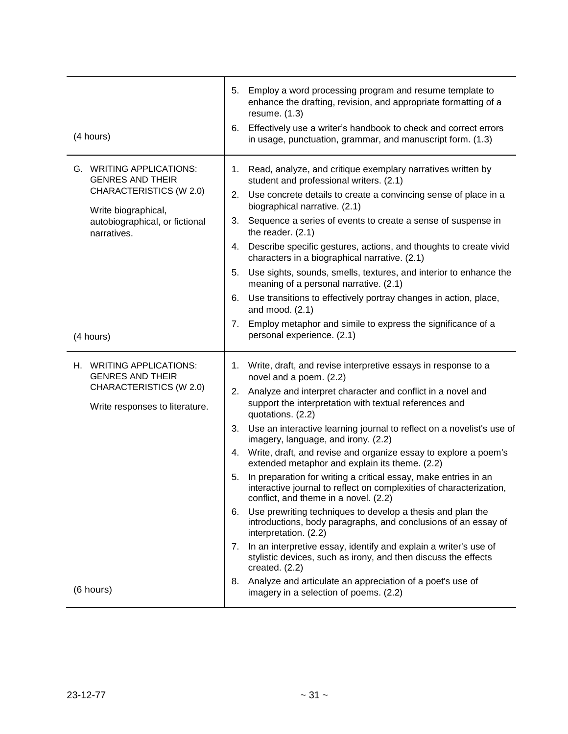| (4 hours)                                                                                                                                                     | Employ a word processing program and resume template to<br>5.<br>enhance the drafting, revision, and appropriate formatting of a<br>resume. $(1.3)$<br>Effectively use a writer's handbook to check and correct errors<br>6.<br>in usage, punctuation, grammar, and manuscript form. (1.3)                                                                                                                                                                                                                                                                                                                                                                                                                                                                                                                                                                                                                                                                                                                                  |
|---------------------------------------------------------------------------------------------------------------------------------------------------------------|-----------------------------------------------------------------------------------------------------------------------------------------------------------------------------------------------------------------------------------------------------------------------------------------------------------------------------------------------------------------------------------------------------------------------------------------------------------------------------------------------------------------------------------------------------------------------------------------------------------------------------------------------------------------------------------------------------------------------------------------------------------------------------------------------------------------------------------------------------------------------------------------------------------------------------------------------------------------------------------------------------------------------------|
| G. WRITING APPLICATIONS:<br><b>GENRES AND THEIR</b><br><b>CHARACTERISTICS (W 2.0)</b><br>Write biographical,<br>autobiographical, or fictional<br>narratives. | Read, analyze, and critique exemplary narratives written by<br>1.<br>student and professional writers. (2.1)<br>Use concrete details to create a convincing sense of place in a<br>2.<br>biographical narrative. (2.1)<br>3.<br>Sequence a series of events to create a sense of suspense in<br>the reader. $(2.1)$<br>Describe specific gestures, actions, and thoughts to create vivid<br>4.<br>characters in a biographical narrative. (2.1)<br>Use sights, sounds, smells, textures, and interior to enhance the<br>5.<br>meaning of a personal narrative. (2.1)<br>Use transitions to effectively portray changes in action, place,<br>6.<br>and mood. $(2.1)$<br>Employ metaphor and simile to express the significance of a<br>7.                                                                                                                                                                                                                                                                                    |
| (4 hours)                                                                                                                                                     | personal experience. (2.1)                                                                                                                                                                                                                                                                                                                                                                                                                                                                                                                                                                                                                                                                                                                                                                                                                                                                                                                                                                                                  |
| H. WRITING APPLICATIONS:<br><b>GENRES AND THEIR</b><br>CHARACTERISTICS (W 2.0)<br>Write responses to literature.                                              | Write, draft, and revise interpretive essays in response to a<br>1.<br>novel and a poem. (2.2)<br>Analyze and interpret character and conflict in a novel and<br>2.<br>support the interpretation with textual references and<br>quotations. (2.2)<br>Use an interactive learning journal to reflect on a novelist's use of<br>3.<br>imagery, language, and irony. (2.2)<br>Write, draft, and revise and organize essay to explore a poem's<br>4.<br>extended metaphor and explain its theme. (2.2)<br>In preparation for writing a critical essay, make entries in an<br>5.<br>interactive journal to reflect on complexities of characterization,<br>conflict, and theme in a novel. (2.2)<br>Use prewriting techniques to develop a thesis and plan the<br>6.<br>introductions, body paragraphs, and conclusions of an essay of<br>interpretation. (2.2)<br>In an interpretive essay, identify and explain a writer's use of<br>7.<br>stylistic devices, such as irony, and then discuss the effects<br>created. $(2.2)$ |
| (6 hours)                                                                                                                                                     | Analyze and articulate an appreciation of a poet's use of<br>8.<br>imagery in a selection of poems. (2.2)                                                                                                                                                                                                                                                                                                                                                                                                                                                                                                                                                                                                                                                                                                                                                                                                                                                                                                                   |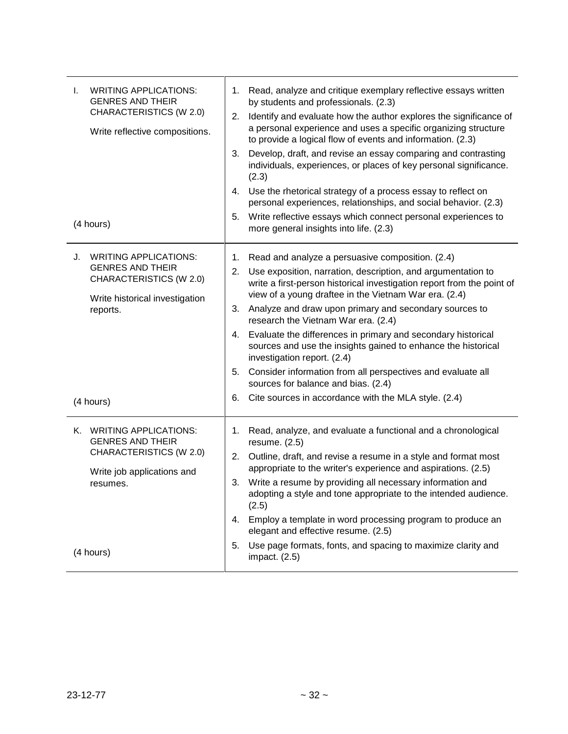| <b>WRITING APPLICATIONS:</b><br>L.<br><b>GENRES AND THEIR</b><br><b>CHARACTERISTICS (W 2.0)</b><br>Write reflective compositions.<br>(4 hours)             | Read, analyze and critique exemplary reflective essays written<br>1.<br>by students and professionals. (2.3)<br>Identify and evaluate how the author explores the significance of<br>2.<br>a personal experience and uses a specific organizing structure<br>to provide a logical flow of events and information. (2.3)<br>Develop, draft, and revise an essay comparing and contrasting<br>3.<br>individuals, experiences, or places of key personal significance.<br>(2.3)<br>Use the rhetorical strategy of a process essay to reflect on<br>4.<br>personal experiences, relationships, and social behavior. (2.3)<br>Write reflective essays which connect personal experiences to<br>5.<br>more general insights into life. (2.3) |
|------------------------------------------------------------------------------------------------------------------------------------------------------------|----------------------------------------------------------------------------------------------------------------------------------------------------------------------------------------------------------------------------------------------------------------------------------------------------------------------------------------------------------------------------------------------------------------------------------------------------------------------------------------------------------------------------------------------------------------------------------------------------------------------------------------------------------------------------------------------------------------------------------------|
| <b>WRITING APPLICATIONS:</b><br>J.<br><b>GENRES AND THEIR</b><br><b>CHARACTERISTICS (W 2.0)</b><br>Write historical investigation<br>reports.<br>(4 hours) | Read and analyze a persuasive composition. (2.4)<br>1.<br>Use exposition, narration, description, and argumentation to<br>2.<br>write a first-person historical investigation report from the point of<br>view of a young draftee in the Vietnam War era. (2.4)<br>Analyze and draw upon primary and secondary sources to<br>3.<br>research the Vietnam War era. (2.4)<br>Evaluate the differences in primary and secondary historical<br>4.<br>sources and use the insights gained to enhance the historical<br>investigation report. (2.4)<br>Consider information from all perspectives and evaluate all<br>5.<br>sources for balance and bias. (2.4)<br>Cite sources in accordance with the MLA style. (2.4)<br>6.                 |
| K. WRITING APPLICATIONS:<br><b>GENRES AND THEIR</b><br><b>CHARACTERISTICS (W 2.0)</b><br>Write job applications and<br>resumes.<br>(4 hours)               | Read, analyze, and evaluate a functional and a chronological<br>1.<br>resume. $(2.5)$<br>Outline, draft, and revise a resume in a style and format most<br>2.<br>appropriate to the writer's experience and aspirations. (2.5)<br>Write a resume by providing all necessary information and<br>3.<br>adopting a style and tone appropriate to the intended audience.<br>(2.5)<br>4. Employ a template in word processing program to produce an<br>elegant and effective resume. (2.5)<br>Use page formats, fonts, and spacing to maximize clarity and<br>5.<br>impact. $(2.5)$                                                                                                                                                         |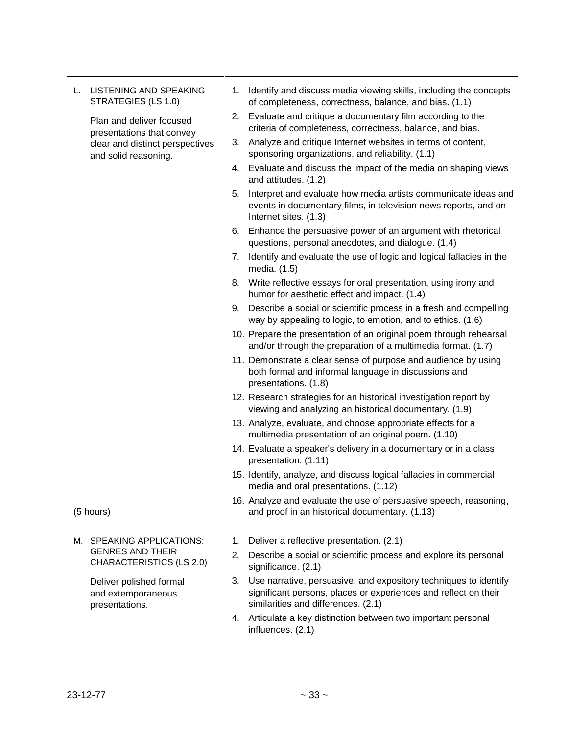| LISTENING AND SPEAKING<br>L.<br>STRATEGIES (LS 1.0)             | Identify and discuss media viewing skills, including the concepts<br>1.<br>of completeness, correctness, balance, and bias. (1.1)                                                |
|-----------------------------------------------------------------|----------------------------------------------------------------------------------------------------------------------------------------------------------------------------------|
| Plan and deliver focused<br>presentations that convey           | Evaluate and critique a documentary film according to the<br>2.<br>criteria of completeness, correctness, balance, and bias.                                                     |
| clear and distinct perspectives<br>and solid reasoning.         | Analyze and critique Internet websites in terms of content,<br>3.<br>sponsoring organizations, and reliability. (1.1)                                                            |
|                                                                 | Evaluate and discuss the impact of the media on shaping views<br>4.<br>and attitudes. (1.2)                                                                                      |
|                                                                 | Interpret and evaluate how media artists communicate ideas and<br>5.<br>events in documentary films, in television news reports, and on<br>Internet sites. (1.3)                 |
|                                                                 | Enhance the persuasive power of an argument with rhetorical<br>6.<br>questions, personal anecdotes, and dialogue. (1.4)                                                          |
|                                                                 | Identify and evaluate the use of logic and logical fallacies in the<br>7.<br>media. (1.5)                                                                                        |
|                                                                 | Write reflective essays for oral presentation, using irony and<br>8.<br>humor for aesthetic effect and impact. (1.4)                                                             |
|                                                                 | Describe a social or scientific process in a fresh and compelling<br>9.<br>way by appealing to logic, to emotion, and to ethics. (1.6)                                           |
|                                                                 | 10. Prepare the presentation of an original poem through rehearsal<br>and/or through the preparation of a multimedia format. (1.7)                                               |
|                                                                 | 11. Demonstrate a clear sense of purpose and audience by using<br>both formal and informal language in discussions and<br>presentations. (1.8)                                   |
|                                                                 | 12. Research strategies for an historical investigation report by<br>viewing and analyzing an historical documentary. (1.9)                                                      |
|                                                                 | 13. Analyze, evaluate, and choose appropriate effects for a<br>multimedia presentation of an original poem. (1.10)                                                               |
|                                                                 | 14. Evaluate a speaker's delivery in a documentary or in a class<br>presentation. (1.11)                                                                                         |
|                                                                 | 15. Identify, analyze, and discuss logical fallacies in commercial<br>media and oral presentations. (1.12)                                                                       |
| (5 hours)                                                       | 16. Analyze and evaluate the use of persuasive speech, reasoning,<br>and proof in an historical documentary. (1.13)                                                              |
| M. SPEAKING APPLICATIONS:                                       | Deliver a reflective presentation. (2.1)<br>1.                                                                                                                                   |
| <b>GENRES AND THEIR</b><br><b>CHARACTERISTICS (LS 2.0)</b>      | Describe a social or scientific process and explore its personal<br>2.<br>significance. (2.1)                                                                                    |
| Deliver polished formal<br>and extemporaneous<br>presentations. | Use narrative, persuasive, and expository techniques to identify<br>3.<br>significant persons, places or experiences and reflect on their<br>similarities and differences. (2.1) |
|                                                                 | Articulate a key distinction between two important personal<br>4.<br>influences. (2.1)                                                                                           |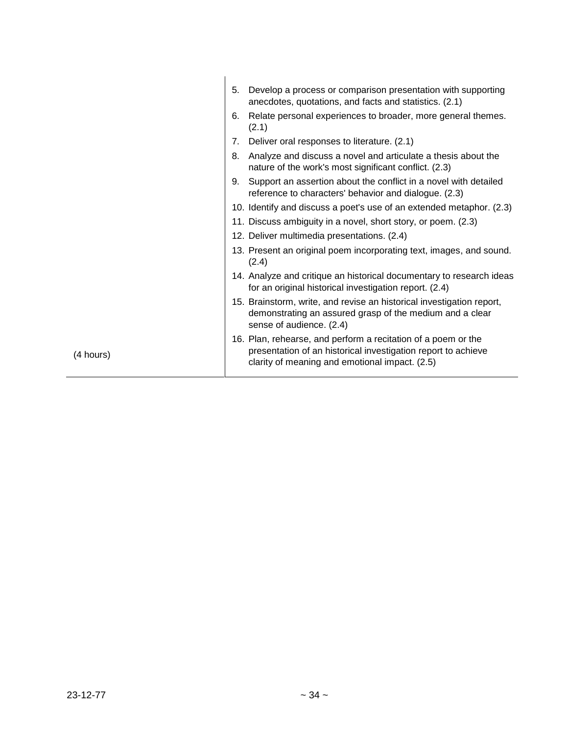|           | 5.<br>Develop a process or comparison presentation with supporting<br>anecdotes, quotations, and facts and statistics. (2.1)                                                     |
|-----------|----------------------------------------------------------------------------------------------------------------------------------------------------------------------------------|
|           | Relate personal experiences to broader, more general themes.<br>6.<br>(2.1)                                                                                                      |
|           | Deliver oral responses to literature. (2.1)<br>7.                                                                                                                                |
|           | Analyze and discuss a novel and articulate a thesis about the<br>8.<br>nature of the work's most significant conflict. (2.3)                                                     |
|           | Support an assertion about the conflict in a novel with detailed<br>9.<br>reference to characters' behavior and dialogue. (2.3)                                                  |
|           | 10. Identify and discuss a poet's use of an extended metaphor. (2.3)                                                                                                             |
|           | 11. Discuss ambiguity in a novel, short story, or poem. (2.3)                                                                                                                    |
|           | 12. Deliver multimedia presentations. (2.4)                                                                                                                                      |
|           | 13. Present an original poem incorporating text, images, and sound.<br>(2.4)                                                                                                     |
|           | 14. Analyze and critique an historical documentary to research ideas<br>for an original historical investigation report. (2.4)                                                   |
|           | 15. Brainstorm, write, and revise an historical investigation report,<br>demonstrating an assured grasp of the medium and a clear<br>sense of audience. (2.4)                    |
| (4 hours) | 16. Plan, rehearse, and perform a recitation of a poem or the<br>presentation of an historical investigation report to achieve<br>clarity of meaning and emotional impact. (2.5) |
|           |                                                                                                                                                                                  |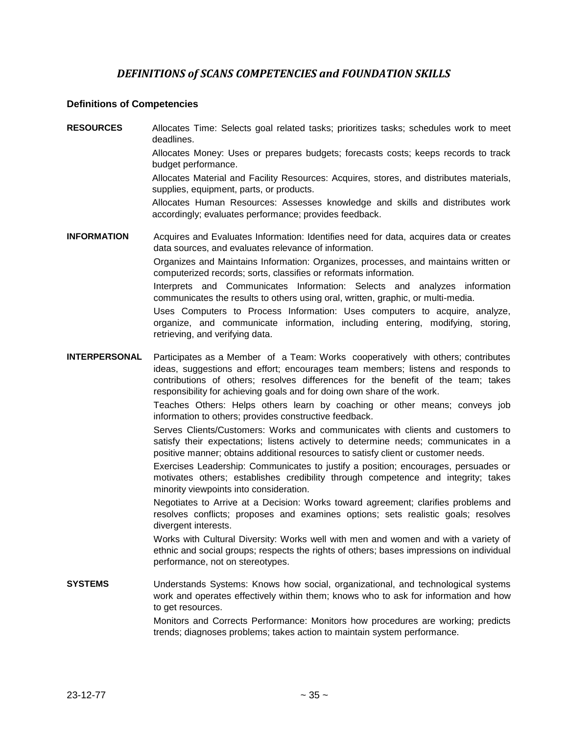## *DEFINITIONS of SCANS COMPETENCIES and FOUNDATION SKILLS*

#### **Definitions of Competencies**

**RESOURCES** Allocates Time: Selects goal related tasks; prioritizes tasks; schedules work to meet deadlines.

> Allocates Money: Uses or prepares budgets; forecasts costs; keeps records to track budget performance.

> Allocates Material and Facility Resources: Acquires, stores, and distributes materials, supplies, equipment, parts, or products.

> Allocates Human Resources: Assesses knowledge and skills and distributes work accordingly; evaluates performance; provides feedback.

**INFORMATION** Acquires and Evaluates Information: Identifies need for data, acquires data or creates data sources, and evaluates relevance of information.

> Organizes and Maintains Information: Organizes, processes, and maintains written or computerized records; sorts, classifies or reformats information.

> Interprets and Communicates Information: Selects and analyzes information communicates the results to others using oral, written, graphic, or multi-media.

> Uses Computers to Process Information: Uses computers to acquire, analyze, organize, and communicate information, including entering, modifying, storing, retrieving, and verifying data.

**INTERPERSONAL** Participates as a Member of a Team: Works cooperatively with others; contributes ideas, suggestions and effort; encourages team members; listens and responds to contributions of others; resolves differences for the benefit of the team; takes responsibility for achieving goals and for doing own share of the work.

> Teaches Others: Helps others learn by coaching or other means; conveys job information to others; provides constructive feedback.

> Serves Clients/Customers: Works and communicates with clients and customers to satisfy their expectations; listens actively to determine needs; communicates in a positive manner; obtains additional resources to satisfy client or customer needs.

> Exercises Leadership: Communicates to justify a position; encourages, persuades or motivates others; establishes credibility through competence and integrity; takes minority viewpoints into consideration.

> Negotiates to Arrive at a Decision: Works toward agreement; clarifies problems and resolves conflicts; proposes and examines options; sets realistic goals; resolves divergent interests.

> Works with Cultural Diversity: Works well with men and women and with a variety of ethnic and social groups; respects the rights of others; bases impressions on individual performance, not on stereotypes.

**SYSTEMS** Understands Systems: Knows how social, organizational, and technological systems work and operates effectively within them; knows who to ask for information and how to get resources.

Monitors and Corrects Performance: Monitors how procedures are working; predicts trends; diagnoses problems; takes action to maintain system performance.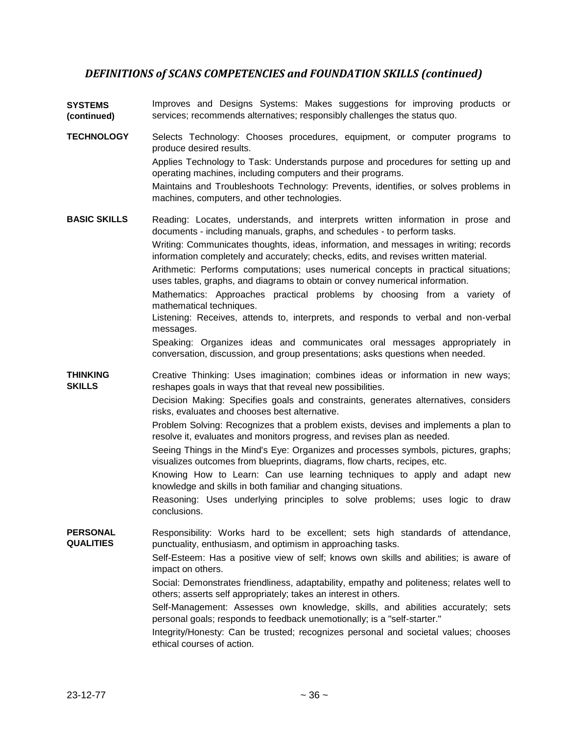## *DEFINITIONS of SCANS COMPETENCIES and FOUNDATION SKILLS (continued)*

**SYSTEMS (continued)** Improves and Designs Systems: Makes suggestions for improving products or services; recommends alternatives; responsibly challenges the status quo.

**TECHNOLOGY** Selects Technology: Chooses procedures, equipment, or computer programs to produce desired results. Applies Technology to Task: Understands purpose and procedures for setting up and operating machines, including computers and their programs. Maintains and Troubleshoots Technology: Prevents, identifies, or solves problems in machines, computers, and other technologies.

**BASIC SKILLS** Reading: Locates, understands, and interprets written information in prose and documents - including manuals, graphs, and schedules - to perform tasks. Writing: Communicates thoughts, ideas, information, and messages in writing; records information completely and accurately; checks, edits, and revises written material. Arithmetic: Performs computations; uses numerical concepts in practical situations; uses tables, graphs, and diagrams to obtain or convey numerical information. Mathematics: Approaches practical problems by choosing from a variety of mathematical techniques. Listening: Receives, attends to, interprets, and responds to verbal and non-verbal

> messages. Speaking: Organizes ideas and communicates oral messages appropriately in

> conversation, discussion, and group presentations; asks questions when needed.

**THINKING SKILLS** Creative Thinking: Uses imagination; combines ideas or information in new ways; reshapes goals in ways that that reveal new possibilities.

> Decision Making: Specifies goals and constraints, generates alternatives, considers risks, evaluates and chooses best alternative.

> Problem Solving: Recognizes that a problem exists, devises and implements a plan to resolve it, evaluates and monitors progress, and revises plan as needed.

> Seeing Things in the Mind's Eye: Organizes and processes symbols, pictures, graphs; visualizes outcomes from blueprints, diagrams, flow charts, recipes, etc.

> Knowing How to Learn: Can use learning techniques to apply and adapt new knowledge and skills in both familiar and changing situations.

> Reasoning: Uses underlying principles to solve problems; uses logic to draw conclusions.

**PERSONAL QUALITIES** Responsibility: Works hard to be excellent; sets high standards of attendance, punctuality, enthusiasm, and optimism in approaching tasks.

> Self-Esteem: Has a positive view of self; knows own skills and abilities; is aware of impact on others.

> Social: Demonstrates friendliness, adaptability, empathy and politeness; relates well to others; asserts self appropriately; takes an interest in others.

> Self-Management: Assesses own knowledge, skills, and abilities accurately; sets personal goals; responds to feedback unemotionally; is a "self-starter."

> Integrity/Honesty: Can be trusted; recognizes personal and societal values; chooses ethical courses of action.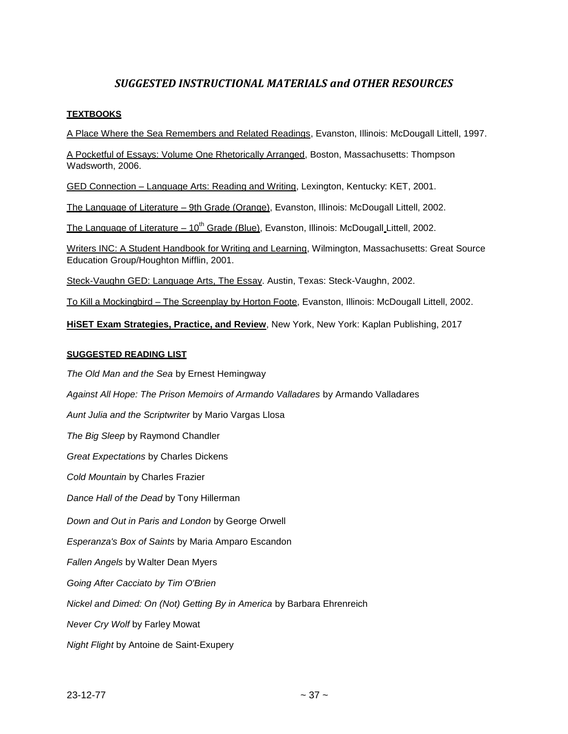## *SUGGESTED INSTRUCTIONAL MATERIALS and OTHER RESOURCES*

#### **TEXTBOOKS**

A Place Where the Sea Remembers and Related Readings, Evanston, Illinois: McDougall Littell, 1997.

A Pocketful of Essays: Volume One Rhetorically Arranged, Boston, Massachusetts: Thompson Wadsworth, 2006.

GED Connection – Language Arts: Reading and Writing, Lexington, Kentucky: KET, 2001.

The Language of Literature – 9th Grade (Orange), Evanston, Illinois: McDougall Littell, 2002.

The Language of Literature  $-10^{th}$  Grade (Blue), Evanston, Illinois: McDougall Littell, 2002.

Writers INC: A Student Handbook for Writing and Learning, Wilmington, Massachusetts: Great Source Education Group/Houghton Mifflin, 2001.

Steck-Vaughn GED: Language Arts, The Essay. Austin, Texas: Steck-Vaughn, 2002.

To Kill a Mockingbird – The Screenplay by Horton Foote, Evanston, Illinois: McDougall Littell, 2002.

**HiSET Exam Strategies, Practice, and Review**, New York, New York: Kaplan Publishing, 2017

#### **SUGGESTED READING LIST**

*The Old Man and the Sea* by Ernest Hemingway

*Against All Hope: The Prison Memoirs of Armando Valladares* by Armando Valladares

*Aunt Julia and the Scriptwriter* by Mario Vargas Llosa

*The Big Sleep* by Raymond Chandler

*Great Expectations* by Charles Dickens

*Cold Mountain* by Charles Frazier

*Dance Hall of the Dead* by Tony Hillerman

*Down and Out in Paris and London* by George Orwell

*Esperanza's Box of Saints* by Maria Amparo Escandon

*Fallen Angels* by Walter Dean Myers

*Going After Cacciato by Tim O'Brien*

*Nickel and Dimed: On (Not) Getting By in America* by Barbara Ehrenreich

*Never Cry Wolf* by Farley Mowat

*Night Flight* by Antoine de Saint-Exupery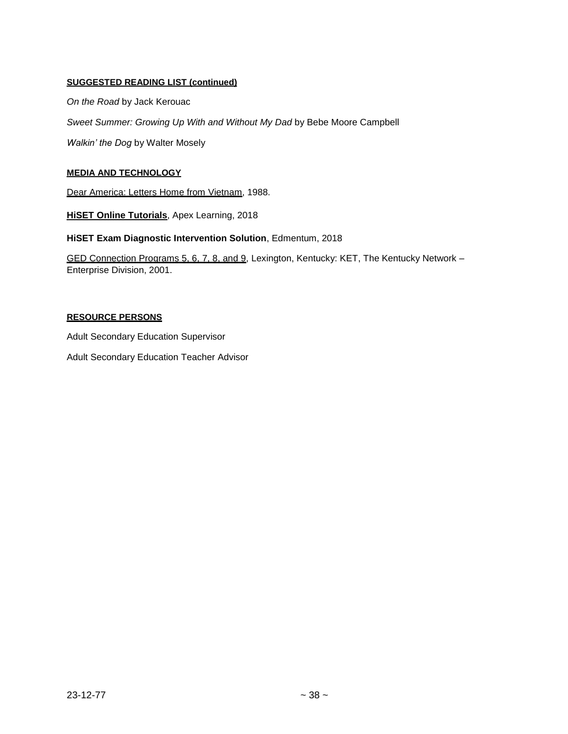#### **SUGGESTED READING LIST (continued)**

*On the Road* by Jack Kerouac

*Sweet Summer: Growing Up With and Without My Dad* by Bebe Moore Campbell

*Walkin' the Dog* by Walter Mosely

#### **MEDIA AND TECHNOLOGY**

Dear America: Letters Home from Vietnam, 1988.

**HiSET Online Tutorials**, Apex Learning, 2018

#### **HiSET Exam Diagnostic Intervention Solution**, Edmentum, 2018

GED Connection Programs 5, 6, 7, 8, and 9, Lexington, Kentucky: KET, The Kentucky Network -Enterprise Division, 2001.

#### **RESOURCE PERSONS**

Adult Secondary Education Supervisor

Adult Secondary Education Teacher Advisor